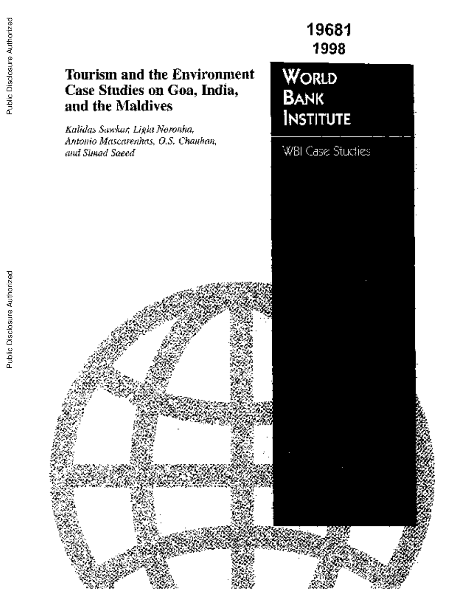# **Tourism and the Environment Case Studies on Goa, India,** and the Maldives

*Kalidas Sawkar, Ligia Noronha, Antonio Mascarenhas, O.S. Chauhan, and Simad Saeed* WBI Case Studies

**19681**

**1998**

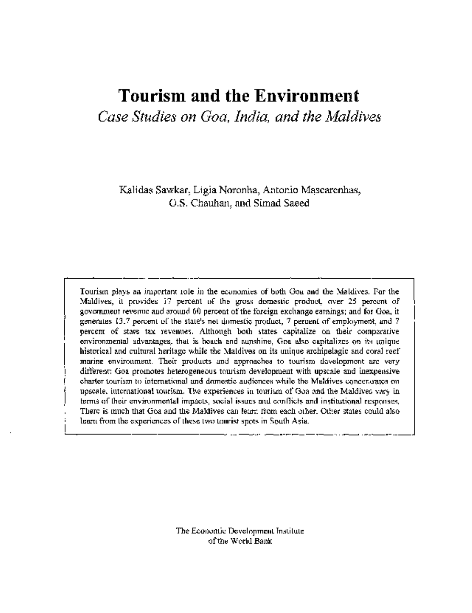# **Tourism and the** Environment

*Case Studies on Goa, India, and the Maldives*

Kalidas Sawkar, Ligia Noronha, Antonio Mascarenhas, O.S. Chauhan, and Simad Saeed

Tourism plays an important role in the economies of both Goa and the Maldives. For the Maldives, it provides 17 percent of the gross domestic product, over 25 percent of government revenue and around 60 percent of the foreign exchange earnings; and for Goa, it generates 13.7 percent of the state's net domestic product, 7 percent of employment, and 7 percent of state tax revenues. Although both states capitalize on their comparative environmental advantages, that is beach and sunshine, Goa also capitalizes on its unique historical and cultural heritage while the Maldives on its unique archipelagic and coral reef marine environment. Their products and approaches to tourism development are very different: Goa promotes heterogeneous tourism development with upscale and inexpensive charter tourism to international and domestic audiences while the Maldives concentrates on upscale, international tourism. The experiences in tourism of Goa and the Maldives vary in terms of their environmental impacts, social issues and conflicts and institutional responses. There is much that Goa and the Maldives can learn from each other. Other states could also learn from the experiences of these two tourist spots in South Asia.

> The Economic Development Institute of the World Bank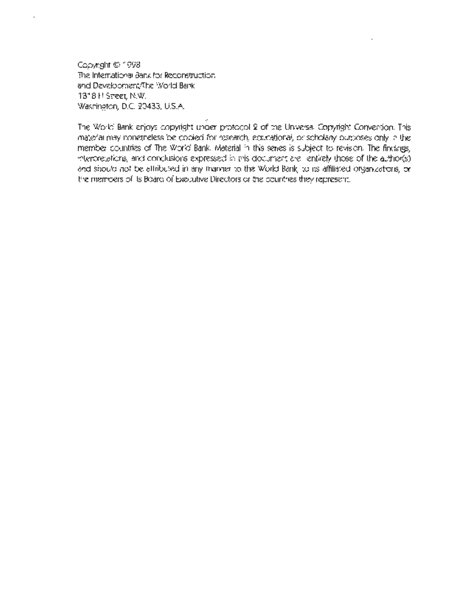Copyright C 1998 The International Bank for Reconstruction and Development/The World Bank 1818 H Street, N.W. Washington, D.C. 20433, U.S.A.

The World Bank enjoys copyright under protocol 2 of the Universal Copyright Convention. This material may nonetheless be copied for research, educational, or scholary purposes only in the member countries of The World Bank. Material in this series is subject to revision. The findings, interpretations, and conclusions expressed in this document are entirely those of the author(s) and should not be attributed in any manner to the World Bank, to its affiliated organizations, or the members of its Board of Executive Directors or the countries they represent.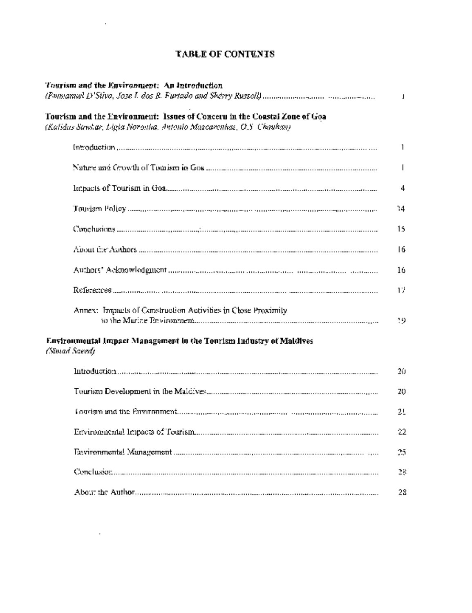|  | <b>TABLE OF CONTENTS</b> |
|--|--------------------------|

 $\sim 10^{11}$  km s  $^{-1}$ 

 $\mathcal{L}^{\text{max}}_{\text{max}}$  ,  $\mathcal{L}^{\text{max}}_{\text{max}}$ 

| Tourism and the Environment: An Introduction                                                                                                     | т            |
|--------------------------------------------------------------------------------------------------------------------------------------------------|--------------|
| Tourism and the Environment: Issues of Conceru in the Constal Zone of Goa<br>(Kalidus Sawhar, Ligia Noronha, Antonio Mascarenhas, O.S. Chauhan). |              |
|                                                                                                                                                  | 1            |
|                                                                                                                                                  | $\mathsf{I}$ |
|                                                                                                                                                  | 4            |
|                                                                                                                                                  | 14           |
|                                                                                                                                                  | 15           |
|                                                                                                                                                  | 16           |
|                                                                                                                                                  | 16           |
|                                                                                                                                                  | 17           |
| Annex: Impacts of Construction Activities in Close Proximity                                                                                     | 19           |
| Environmental Impact Management in the Tourism Industry of Maldives<br>(Simad Saeed)                                                             |              |
|                                                                                                                                                  | 20           |
|                                                                                                                                                  | 20           |
|                                                                                                                                                  | 21           |
|                                                                                                                                                  | 22           |
|                                                                                                                                                  | 25           |
|                                                                                                                                                  | 28           |
|                                                                                                                                                  | 28           |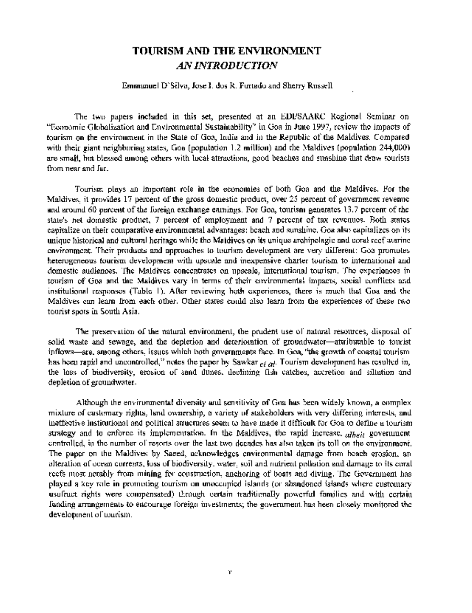## TOURISM AND THE ENVIRONMENT *AN INTRODUCTION*

### Emmanuel D'Silva, Jose I. dos R. Furtado and Sherry Russell

The two papers included in this set, presented at an EDI/SAARC Regional Seminar on "Economic Globalization and Environmental Sustainability" in Goa in June 1997, review the impacts of tourism on the environment in the State of Goa, India and in the Republic of the Maldives. Compared with their giant neighboring states, Goa (population 1.2 million) and the Maldives (population 244,000) are small, but blessed among others with local attractions, good beaches and sunshine that draw tourists from near and far.

Tourism plays an important role in the economies of both Goa and the Maldives. For the Maldives, it provides 17 percent of the gross domestic product, over 25 percent of government revenue and around 60 percent of the foreign exchange earnings. For Goa, tourism generates 13.7 percent of the state's net domestic product, 7 percent of employment and 7 percent of tax revenues. Both states capitalize on their comparative environmental advantages: beach and sunshine. Goa also capitalizes on its unique historical and cultural heritage while the Maldives on its unique archipelagic and coral reef marine environment. Their products and approaches to tourism development are very different: Goa promotes heterogeneous tourism development with upscale and inexpensive charter tourism to international and domestic audiences. The Maldives concentrates on upscale, international tourism. The experiences in tourism of Goa and the Maldives vary in terms of their environmental impacts, social conflicts and institutional responses (Table 1). After reviewing both experiences, there is much that Goa and the Maldives can learn from each other. Other states could also learn from the experiences of these two tourist spots in South Asia.

The preservation of the natural environment, the prudent use of natural resources, disposal of solid waste and sewage, and the depletion and deterioration of groundwater-attributable to tourist inflows-are, among others, issues which both governments face. In Goa, "the growth of coastal tourism has been rapid and uncontrolled," notes the paper by Sawkar *et al* Tourism development has resulted in, the loss of biodiversity, erosion of sand dunes, declining fish catches, accretion and siltation and depletion of groundwater.

Although the environmental diversity and sensitivity of Goa has been widely known, a complex mixture of customary rights, land ownership, a variety of stakeholders with very differing interests, and ineffective institutional and political structures seem to have made it difficult for Goa to define a tourism strategy and to enforce its implementation. In the Maldives, the rapid increase, *albeit* government controlled, in the number of resorts over the last two decades has also taken its toll on the environment. The paper on the Maldives by Saeed, acknowledges environmental damage from beach erosion, an alteration of ocean currents, loss of biodiversity, water, soil and nutrient pollution and damage to its coral reefs most notably from mining for construction, anchoring of boats and diving. The Government has played a key role in promoting tourism on unoccupied islands (or abandoned islands where customary usufruct rights were compensated) through certain traditionally powerful families and with certain funding arrangements to encourage foreign investments; the government has been closely monitored the development of tourism.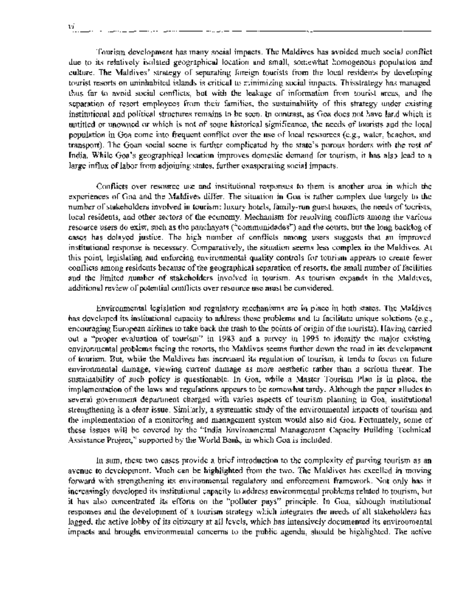Tourism development has many social impacts. The Maldives has avoided much social conflict due to its relatively isolated geographical location and small, somewhat homogenous population and culture. The Maldives' strategy of separating foreign tourists from the local residents by developing tourist resorts on uninhabited islands is critical to minimizing social impacts. Thisstrategy has managed thus far to avoid social conflicts, but with the leakage of information from tourist areas, and the separation of resort employees from their families, the sustainability of this strategy under existing institutional and political structures remains to be seen. In contrast, as Goa does not have land which is untitled or unowned or which is not of some historical significance, the needs of tourists and the local population in Goa come into frequent conflict over the use of local resources (e.g., water, beaches, and transport). The Goan social scene is further complicated by the state's porous borders with the rest of India. While Goa's geographical location improves domestic demand for tourism, it has also lead to a large influx of labor from adjoining states, further exasperating social impacts.

Conflicts over resource use and institutional responses to them is another area in which the experiences of Goa and the Maldives differ. The situation in Goa is rather complex due largely to the number of stakeholders involved in tourism: luxury hotels, family-run guest houses, the needs of tourists, local residents, and other sectors of the economy. Mechanism for resolving conflicts among the various resource users do exist, such as the panchayats ("communidades") and the courts, but the long backlog of cases has delayed justice. The high number of conflicts among users suggests that an improved institutional response is necessary. Comparatively, the situation seems less complex in the Maldives. At this point, legislating and enforcing environmental quality controls for tourism appears to create fewer conflicts among residents because of the geographical separation of resorts, the small number of facilities and the limited number of stakeholders involved in tourism. As tourism expands in the Maldives, additional review of potential conflicts over resource use must be considered.

Environmental legislation and regulatory mechanisms are in place in both states. The Maldives has developed its institutional capacity to address these problems and to facilitate unique solutions (e.g., encouraging European airlines to take back the trash to the points of origin of the tourists). Having carried out a "proper evaluation of tourism" in 1983 and a survey in 1995 to identify the major existing environmental problems facing the resorts, the Maldives seems further down the road in its development of tourism. But, while the Maldives has increased its regulation of tourism, it tends to focus on future environmental damage, viewing current damage as more aesthetic rather than a serious threat. The sustainability of such policy is questionable. In Goa, while a Master Tourism Plan is in place, the implementation of the laws and regulations appears to be somewhat tardy. Although the paper alludes to several government department charged with varies aspects of tourism planning in Goa, institutional strengthening is a clear issue. Similarly, a systematic study of the environmental impacts of tourism and the implementation of a monitoring and management system would also aid Goa. Fortunately, some of these issues will be covered by the "India Environmental Management Capacity Building Technical Assistance Project," supported by the World Bank, in which Goa is included.

In sum, these two cases provide a brief introduction to the complexity of pursing tourism as an avenue to development. Much can be highlighted from the two. The Maldives has excelled in moving forward with strengthening its environmental regulatory and enforcement framework. Not only has it increasingly developed its institutional capacity to address environmental problems related to tourism, but it has also concentrated its efforts on the "polluter pays" principle. In Goa, although institutional responses and the development of a tourism strategy which integrates the needs of all stakeholders has lagged, the active lobby of its citizenry at all levels, which has intensively documented its environmental impacts and brought environmental concerns to the public agenda, should be highlighted. The active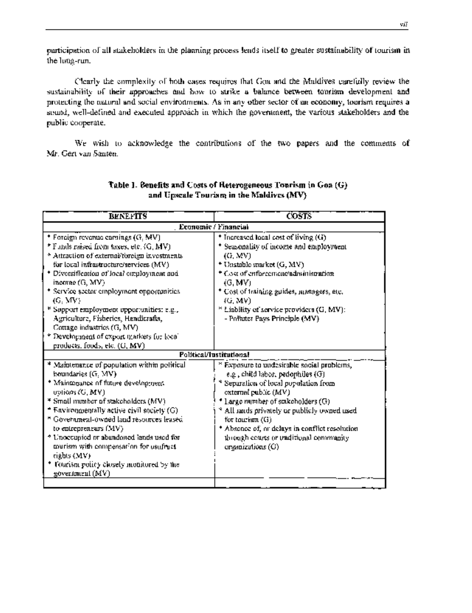participation of all stakeholders in the planning process lends itself to greater sustainability of tourism in the long-run.

Clearly the complexity of both cases requires that Goa and the Maldives carefully review the sustainability of their approaches and how to strike a balance between tourism development and protecting the natural and social environments. As in any other sector of an economy, tourism requires a sound, well-defined and executed approach in which the government, the various stakeholders and the public cooperate.

We wish to acknowledge the contributions of the two papers and the comments of Mr. Gert van Santen.

| Economic / Financial                                                                                                                                                                                                                                                                                                                                                                              |
|---------------------------------------------------------------------------------------------------------------------------------------------------------------------------------------------------------------------------------------------------------------------------------------------------------------------------------------------------------------------------------------------------|
|                                                                                                                                                                                                                                                                                                                                                                                                   |
| * Increased local cost of living (G)<br>Seasonality of income and employment<br>(G, MV)<br>* Unstable market (G, MV)<br>* Cost of enforcement administration<br>(G, MV)<br>* Cost of training guides, managers, etc.<br>(G, MV)<br><sup>8</sup> Liability of service providers (G, MV):<br>- Polluter Pays Principle (MV)                                                                         |
| Political/Institutional                                                                                                                                                                                                                                                                                                                                                                           |
| <sup>8</sup> Exposure to undesirable social problems,<br>e.g., child labor, pedophiles (G)<br>* Separation of local population from<br>external public (MV)<br>* Large number of stakeholders (G)<br><sup>8</sup> All ands privately or publicly owned used<br>for tourism (G)<br>* Absonce of, or delays in conflict resolution<br>through courts or traditional community.<br>organizations (G) |
|                                                                                                                                                                                                                                                                                                                                                                                                   |

### **Table 1. Benefits and Costs of Heterogeneous Tourism in Goa (G) and Upscale Tourism in the Maldives (MV)**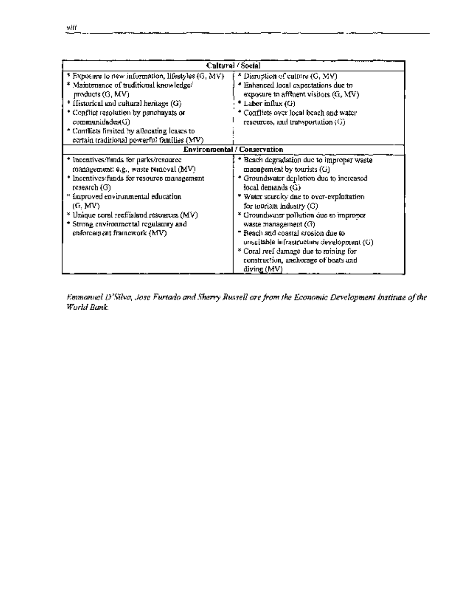| Cultural (Social                                                                                                                                                                                                                                                                                                                           |                                                                                                                                                                                                                                                                                                                                                                                                                                                                                          |  |  |  |
|--------------------------------------------------------------------------------------------------------------------------------------------------------------------------------------------------------------------------------------------------------------------------------------------------------------------------------------------|------------------------------------------------------------------------------------------------------------------------------------------------------------------------------------------------------------------------------------------------------------------------------------------------------------------------------------------------------------------------------------------------------------------------------------------------------------------------------------------|--|--|--|
| $*$ Exposure to new information, lifestyles $(G, MV)$ .<br>* Maintenance of traditional knowledge/<br>products (G, MV)<br>$*$ Historical and cultural heritage $(G)$<br>* Conflict resolution by panchayats or<br>communidades(G)<br><sup>4</sup> Conflicts fimited by allocating leases to<br>ecrtain traditional powerfiel families (MV) | Disruption of culture $(G, MV)$<br>Enhanced local expectations due to<br>exposure to affluent visitors $(G, MV)$<br>$*$ Labor milux $(G)$<br>Conflicts over local beach and water<br>resources, and transportation $(G)$                                                                                                                                                                                                                                                                 |  |  |  |
|                                                                                                                                                                                                                                                                                                                                            | <b>Environmental / Conservation</b>                                                                                                                                                                                                                                                                                                                                                                                                                                                      |  |  |  |
| <sup>+</sup> Incentives/finds for parks/resource<br>management: e.g., waste removal $(MV)$<br>Incentives/funds for resource management<br>research (G).<br>improved environmental education<br>(G, MV)<br>$*$ Unique coral reeffisiand resources (MV).<br>* Strong environmental regulatory and<br>enforcement framework (MV).             | Beach degradation due to improper waste<br>management by tourists (G)<br><sup>*</sup> Groundwater depletion due to increased<br>local demands (G).<br>* Water scarcity due to over-exploitation.<br>for tourism industry (G)<br>* Groundwater pollution due to improver<br>waste management (G)<br>" Beach and coastal crosion due to<br>$unsu$ table infrastructure development $(G)$ .<br>* Coral reef damage due to mining for<br>construction, anchorage of boats and<br>diving (MV) |  |  |  |

*Emmanuel D 'Silva, Jose Furtado and Sherry Russell are from the Economic Development Institute of the World Bank.*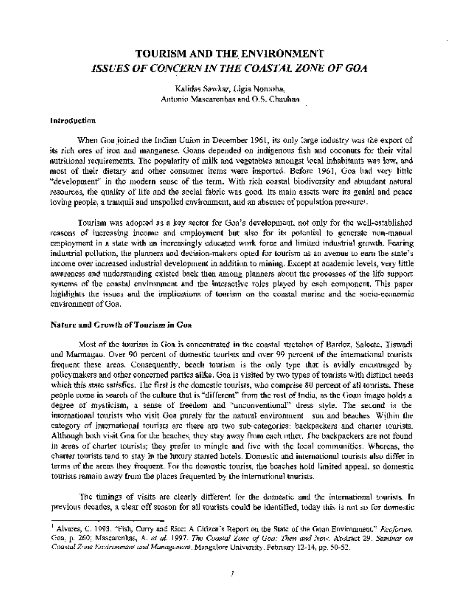# TOURISM AND THE ENVIRONMENT *ISSUES OF CONCERN IN THE COASTAL ZONE OF GOA*

Kalidas Sawkar, Ligia Noronha, Antonio Mascarenhas and O.S. Chauhan

### **Introduction**

When Goa joined the Indian Union in December 1961, its only large industry was the export of its rich ores of iron and manganese. Goans depended on indigenous fish and coconuts for their vital nutritional requirements. The popularity of milk and vegetables amongst local inhabitants was low, and most of their dietary and other consumer items were imported. Before 1961, Goa had very little "development" in the modem sense of the term. With rich coastal biodiversity and abundant natural resources, the quality of life and the social fabric was good. Its main assets were its genial and peace loving people, a tranquil and unspoiled environment, and an absence of population pressurel.

Tourism was adopted as a key sector for Goa's development, not only for the well-established reasons of increasing income and employment but also for its potential to generate non-manual employment in a state with an increasingly educated work force and limited industrial growth. Fearing industrial pollution, the planners and decision-makers opted for tourism as an avenue to earn the state's income over increased industrial development in addition to mining. Except at academic levels, very little awareness and understanding existed back then among planners about the processes of the life support systems of the coastal environment and the interactive roles played by each component. This paper highlights the issues and the implications of tourism on the coastal marine and the socio-economic environment of Goa.

### **Nature and Growth of Tourism in Goa**

Most of the tourism in Goa is concentrated in the coastal stretches of Bardez, Salcete, Tiswadi and Marmagao. Over 90 percent of domestic tourists and over 99 percent of the international tourists frequent these areas. Consequently, beach tourism is the only type that is avidly encouraged by policymakers and other concerned parties alike. Goa is visited by two types of tourists with distinct needs which this state satisfies. The first is the domestic tourists, who comprise 80 percent of all tourists. These people come in search of the culture that is "different" from the rest of India, as the Goan image holds a degree of mysticism, a sense of freedom and "unconventional" dress style. The second is the international tourists who visit Goa purely for the natural environment-sun and beaches. Within the category of international tourists are there are two sub-categories: backpackers and charter tourists. Although both visit Goa for the beaches, they stay away from each other. The backpackers are not found in areas of charter tourists; they prefer to mingle and live with the local communities. Whereas, the charter tourists tend to stay in the luxury starred hotels. Domestic and international tourists also differ in terms of the areas they frequent. For the domestic tourist, the beaches hold limited appeal, so domestic tourists remain away from the places frequented by the intemational tourists.

The timings of visits are clearly different for the domestic and the international tourists. In previous decades, a clear off season for all tourists could be identified, today this is not so for domestic

<sup>&#</sup>x27; Alvares, C. 1993. "Fish, Curry and Rice: A Citizen's Report on the State of the Goan Environment." *Ecoforum.* Goa, p. 260; Mascarenhas, A. *et al. 1997. The Coastal Zone of Goa: Then and Now.* Abstract 29. *Seminar on Coastal Zone Environment and Management.* Mangalore University. February 12-14, pp. 50-52.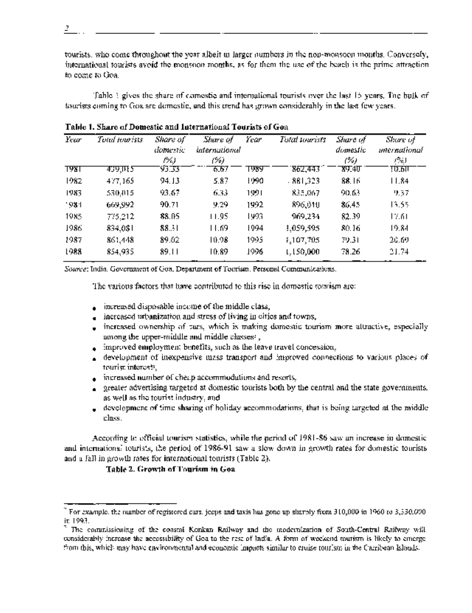tourists, who come throughout the year albeit in larger numbers in the non-monsoon months. Conversely, international tourists avoid the monsoon months, as for them the use of the beach is the prime attraction to come to Goa.

Table 1 gives the share of comestic and international tourists over the last 15 years. The bulk of tourists coming to Goa are domestic, and this trend has grown considerably in the last few years.

| Year  | Total unitsiss | Share of<br>domestic<br>1%) | Share of<br>international<br>(%) | Year  | Total tourists | Share of<br>domestic<br>(%) | Share of<br>mernational<br>恐則 |
|-------|----------------|-----------------------------|----------------------------------|-------|----------------|-----------------------------|-------------------------------|
| १९४१  | कारपास         | 93.33                       | 6.67                             | एछप   | 862,443        | 89.40                       | ए) हा                         |
| 1982  | 477,165        | 94. J.3                     | 5.87                             | 1990. | 881,323        | 88.16                       | 11.84                         |
| 1983. | 530,015        | 93.67                       | 6.33                             | 1991. | 835,067        | 90.63                       | 9.37                          |
| '981  | 669,992        | 90.71                       | 9.29                             | 1992  | 896,010        | 86.45                       | 13.55                         |
| 1985. | 775,212        | 88.05                       | 11.95                            | 1993. | 969,234        | 82.39                       | 17.61                         |
| 1986  | 834,081        | 88.31                       | 11.69                            | 1994  | 1,059,595      | 80.16                       | 19.84                         |
| 1987  | 861,448        | 89.02                       | 10.98                            | 1995  | 1,107,705      | 79.31                       | 20.69                         |
| 1988  | 854,935        | 89.11                       | 10.89                            | 1996  | 1.150,000      | 78.26                       | 21.74                         |

**Table 1. Share of Domestic and International Tourists of Goa**

*Source:* India, Government of Goa, Department of Tourism. Personal Communications.

The various factors that have contributed to this rise in domestic tourism are:

- increased disposable income of the middle class,
- increased urbanization and stress of living in cities and towns,
- increased ownership of cars, which is making domestic tourism more attractive, especially among the upper-middle and middle classes?,
- improved employment benefits, such as the leave travel concession,
- development of inexpensive mass transport and improved connections to various places of tourist interests,
- $\bullet$  increased number of cheap accommodations and resorts,
- greater advertising targeted at domestic tourists both by the central and the state governments, as well as the tourist industry, and
- development of time sharing of holiday accommodations, that is being targeted at the middle class.

According to official tourisnm statistics, while the period of 1981-86 saw an increase in domestic and international tourists, the period of 1986-91 saw a slow down in growth rates for domestic tourists and a fall in growth rates for international tourists (Table 2).

### **Table 2. Growth of Tourism in Goa**

*2*

<sup>2</sup>For example, the number of registered cars, jeeps and taxis has gone up sharply from 310,000 in 1960 to 3,330,000 in 1993.

The commissioning of the coastal Konkan Railway and the modernization of South-Central Railway will considerably increase the accessibility of Goa to the rest of India. A form of weekend tourism is likely to emerge from this, which may have environmental and economic impacts similar to cruise tourism in the Carribean Islands.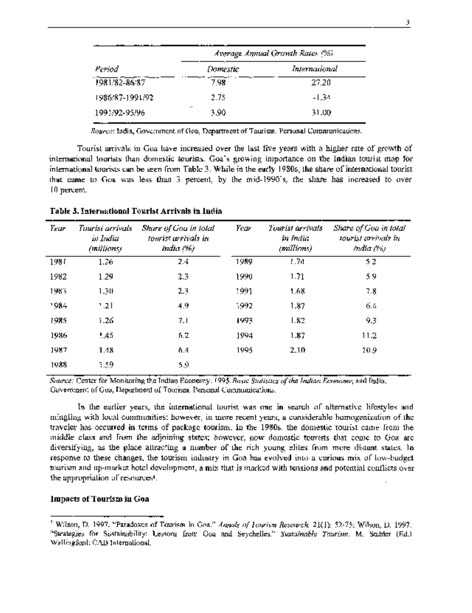|                 | Average Annual Growth Rates (%) |               |  |  |  |
|-----------------|---------------------------------|---------------|--|--|--|
| Period          | Domestic                        | International |  |  |  |
| 1981/82-86/87   | 7.98                            | 27.20         |  |  |  |
| 1986/87-1991/92 | 2.75                            | -1.34         |  |  |  |
| 1991/92-95/96   | <br>3.90                        | 31.00         |  |  |  |

*Source:* India, Government of Goa, Department of Tourism. Personal Communications.

Tourist arrivals in Goa have increased over the last five years with a higher rate of growth of international tourists than domestic tourists. Goa's growing importance on the Indian tourist map for international tourists can be seen from Table 3. While in the early 1980s, the share of international tourist that came to Goa was less than 3 percent, by the mid-1990's, the share has increased to over 10 percent.

| Year | Tourisi arrivals.<br>in India<br>(millions). | Share of Gou in total<br>tourist wrivals in<br>India (%) | Year | Tourist arrivats<br>in India<br>(millions). | Share of Goa in total<br>tourist corrivals in<br>india (%). |
|------|----------------------------------------------|----------------------------------------------------------|------|---------------------------------------------|-------------------------------------------------------------|
| 1987 | 1.26                                         | 24                                                       | 1989 | 1.74                                        | 52                                                          |
| 1982 | 1.29                                         | 23                                                       | 1990 | 1.71                                        | 59                                                          |
| 1983 | 1.30                                         | 2.3                                                      | 1991 | 1.68                                        | 7.8                                                         |
| 1984 | 1.21                                         | 4.9                                                      | 1992 | 1.87                                        | 6.4                                                         |
| 1985 | 1.26                                         | 7.1                                                      | 1993 | 1.82                                        | 9.3                                                         |
| 1986 | 1,45                                         | 6.2                                                      | 1994 | 1.87                                        | 11.2                                                        |
| 1987 | 1.41                                         | 6.4                                                      | 1995 | 2.10                                        | 30.9                                                        |
| 1988 | 1.59                                         | 5.9                                                      |      |                                             |                                                             |

**Table 3. International Tourist Arrivals in India**

*Source:* Center for Monitoring the Indian Economy. *1995. Basic Statistics of the Indian Economy;* and India, Government of Goa, Department of Tourism. Personal Communications.

In the earlier years, the international tourist was one in search of alternative lifestyles and mingling with local communities; however, in more recent years, a considerable homogenization of the traveler has occurred in terms of package tourism. In the 1980s, the domestic tourist came from the middle class and from the adjoining states; however, now domestic tourists that come to Goa are diversifying, as the place attracting a number of the rich young elites from more distant states. In response to these changes, the tourism industry in Goa has evolved into a curious mix of low-budget tourism and up-market hotel development, a mix that is marked with tensions and potential conflicts over the appropriation of resources<sup>4</sup> .

### **Impacts of Tourism in Goa**

<sup>4</sup> Wilson, D. 1997. "Paradoxes of Tourism in Goa." *Annals of Tourism Research.* 21(1): 52-75; Wilson, D. 1997. "Strategies for Sustainability: Lessons from Goa and Seychelles." *Sustainable Tourism.* M. Stabler (Ed.) Wallingford: CAB International.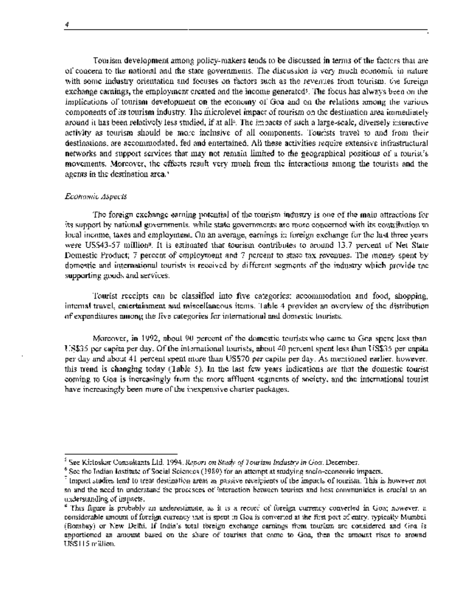4

Tourism development among policy-makers tends to be discussed in terms of the factors that are of concern to the national and the state governments. The discussion is very much economic in nature with some industry orientation and focuses on factors such as the revenues from tourism, the foreign exchange earnings, the employment created and the income generated5. The focus has always been on the implications of tourism development on the economy of Goa and on the relations among the various components of its tourism industry. The microlevel impact of tourism on the destination area irmmediately around it has been relatively less studied, if at all<sup>6</sup>. The impacts of such a large-scale, diversely interactive activity as tourism should be more inclusive of all components. Tourists travel to and from their destinations, are accommodated, fed and entertained. All these activities require extensive infrastructural networks and support services that may not remain limited to the geographical positions of a tourist's movements. Moreover, the effects result very much from the interactions among the tourists and the agents in the destination area.<sup>3</sup>

### *Economic Aspects*

The foreign exchange earning potential of the tourism industry is one of the main attractions for its support by national governments, while state governments are more concerned with its contribution to local income, taxes and employment. On an average, earnings in foreign exchange for the last three years were US\$43-57 million<sup>9</sup>. It is estimated that tourism contributes to around 13.7 percent of Net State Domestic Product; 7 percent of employment and 7 percent to state tax revenues. The money spent by domestic and international tourists is received by different segments of the industry which provide the supporting goods and services.

Tourist receipts can be classified into five categories: accommodation and food, shopping, internal travel, entertainment and miscellaneous items. Table 4 provides an overview of the distribution of expenditures among the five categories for international and domestic tourists.

Moreover, in 1992, about 90 percent of the domestic tourists who came to Goa spent less than US\$35 per capita per day. Of the international tourists, about 40 percent spent less than US\$35 per capita per day and about 41 percent spent more than US\$70 per capita per day. As mentioned earlier, however, this trend is changing today (Table 5). In the last few years indications are that the domestic tourist coming to Goa is increasingly from the more affluent segments of society, and the international tourist have increasingly been more of the inexpensive charter packages.

<sup>5</sup>See Kirloskar Consultants Ltd. 1994. *Report on Study of Tourism Industry in Goa.* December.

 $^6$  See the Indian Institute of Social Sciences (1989) for an attempt at studying socio-economic impacts.

<sup>&</sup>lt;sup>7</sup> Impact studies tend to treat destination areas as passive receipients of the impacts of tourism. This is however not so and the need to understand the procesees of interaction between tourists and host communities is crucial to an understanding of impacts.

<sup>8</sup> This figure is probably an underestimate, as it is a record of foreign currency converted in Goa; however, a considerable amount of foreign currency that is spent in Goa is converted at the first port of entry, typically Mumbai (Bombay) or New Delhi. If India's total foreign exchange earnings from tourism are considered and Goa is apportioned an amount based on the share of tourists that come to Goa, then the amount rises to around US\$115 million.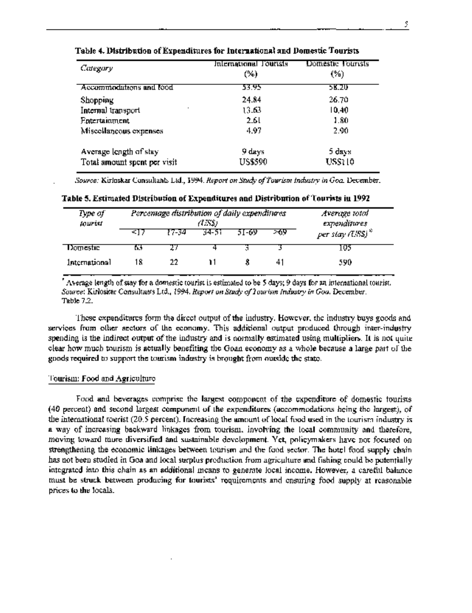| Categary                     | International Fourists<br>(%) | Domestic Tourists<br>(%) |
|------------------------------|-------------------------------|--------------------------|
| Accommodations and food      | 53.95                         | 58.ZU                    |
| Shopping                     | 24.84                         | 26.70                    |
| ٠<br>Internal transport      | 13.63                         | 10,40                    |
| <b>Entertainment</b>         | 2.61                          | 1.80                     |
| Miscellaneous expenses       | 4.97                          | 2.90                     |
| Average length of stay       | 9 days                        | 5 days                   |
| Total amount spent per visit | US\$590                       | USS110                   |

**Table 4. Distribution of Expenditures for International and Domestic Tourists**

*Source:* Kirloskar Consultants Ltd., 1994. *Report on Study of Tourism Industry in Goa* December.

| Type of<br>Jourist | Percentage distribution of daily expenditures<br>(US\$) |        |       | Average total<br>expenditures |      |                      |
|--------------------|---------------------------------------------------------|--------|-------|-------------------------------|------|----------------------|
|                    | -417                                                    | 17-34. | 34-51 | 51-69.                        | - 69 | per stay $(USS)^{2}$ |
| Domestic           | DJ.                                                     |        |       |                               |      | l 05                 |
| International      | 18                                                      | 22     |       |                               |      | 590                  |

**Table 5. Estimated Distribution of Expenditures and Distribution of Tourists in 1992**

Average length of stay for a domestic tourist is estimated to be 5 days; 9 days for an international tourist. *Source:* Kirloskar Consultants Ltd., 1994. *Report on Study of Tourism Industry in Goa.* December. Table 7.2.

These expenditures form the direct output of the industry. However, the industry buys goods and services from other sectors of the economy. This additional output produced through inter-industry spending is the indirect output of the industry and is normally estimated using multipliers. It is not quite clear how much tourism is actually benefiting the Goan economy as a whole because a large part of the goods required to support the tourism industry is brought from outside the state.

### Tourism: Food and Agriculture

Food and beverages comprise the largest component of the expenditure of domestic tourists (40 percent) and second largest component of the expenditures (accommodations being the largest), of the international tourist (20.5 percent). Increasing the amount of local food used in the tourism industry is a way of increasing backward linkages from tourism, involving the local community and therefore, moving toward more diversified and sustainable development. Yet, policymakers have not focused on strengthening the economic linkages between tourism and the food sector. The hotel food supply chain has not been studied in Goa and local surplus production from agriculture and fishing could be potentially integrated into this chain as an additional means to generate local income. However, a careful balance must be struck between producing for tourists' requirements and ensuring food supply at reasonable prices to the locals.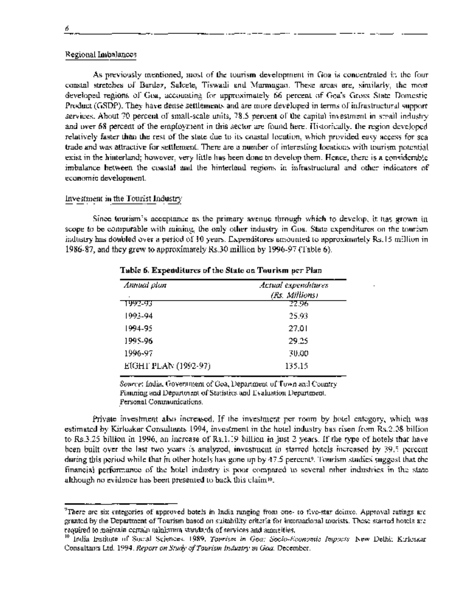### Regional Imbalances

As previously mentioned, most of the tourism development in Goa is concentrated in the four coastal stretches of Bardez, Salcete, Tiswadi and Marmagao. These areas are, similarly, the most developed regions of Goa, accounting for approximately 66 percent of Goa's Gross State Domestic Product (GSDP). They have dense settlements and are more developed in terms of infrastructural support services. About 70 percent of small-scale units, 78.5 percent of the capital investment in small industry and over 68 percent of the employment in this sector are found here. Historically, the region developed relatively faster than the rest of the state due to its coastal location, which provided easy access for sea trade and was attractive for settlement. There are a number of interesting locations with tourismr potential exist in the hinterland; however, very little has been done to develop them. Hence, there is a considerable imbalance between the coastal and the hinterland regions in infrastructural and other indicators of economic development.

### Investment in the Tourist Industry

Since tourism's acceptance as the primary avenue through which to develop, it has grown in scope to be comparable with mining, the only other industry in Goa. State expenditures on the tourism industry has doubled over a period of 10 years. Expenditures amounted to approximately Rs.15 million in 1986-87, and they grew to approximately Rs.30 million by 1996-97 (Table 6).

| Annual plan<br>٠     | Actual expenditures<br>(Rs. Millions) |
|----------------------|---------------------------------------|
| 1992-93              | 22.96                                 |
| 1993-94              | 25.93                                 |
| 1994-95              | 27.01                                 |
| 1995-96              | 29.25                                 |
| 1996-97              | 30.00                                 |
| EIGHT PLAN (1992-97) | 135.15                                |

**Table 6. Expenditures of the State on Tourism per Plan**

*Source:* India, Govermnent of Goa, Department of Town and Country Planning and Department of Statistics and Evaluation Department. Personal Communications.

Private investment also increased. If the investment per room by hotel category, which was estimated by Kirloskar Consultants 1994, investment in the hotel industry has risen from Rs.2.08 billion to Rs.3.25 billion in 1996, an increase of Rs. 1.19 billion in just 2 years. If the type of hotels that have been built over the last two years is analyzed, investment in starred hotels increased by 39.5 percent during this period while that in other hotels has gone up by 47.5 percent<sup>9</sup> . Tourism studies suggest that the financial performance of the hotel industry is poor compared to several other industries in the state although no evidence has been presenited to back this claimlo.

<sup>&</sup>lt;sup>9</sup>There are six categories of approved hotels in India ranging from one- to five-star deluxe. Approval ratings are granted by the Department of Tourism based on suitability criteria for international tourists. These starred hotels are required to maintain certain minimum standards of services and amneities.

**<sup>10</sup>** India Institute of Social Sciences. 1989. *Tourism in Goa: Socio-Economic Impacts.* New Delhi; Kirloskar Consultants Ltd. 1994. *Report on Study cf Tourism Industry in Goa.* December.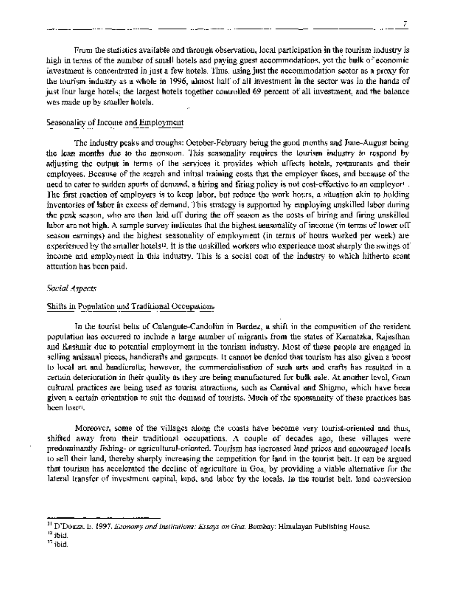From the statistics available and through observation, local participation in the tourism industry is high in terms of the number of small hotels and paying guest accommodations, yet the bulk of economic investment is concentrated in just a few hotels. Thus, using just the accommodation sector as a proxy for the tourism industry as a whole in 1996, almost half of all investment in the sector was in the hands of just four large hotels; the largest hotels together controlled 69 percent of all investment, and the balance was made up by smaller hotels.

### Seasonality of Income and Employment

The industry peaks and troughs: October-February being the good months and June-August being the lean months due to the monsoon. This seasonality requires the tourism industry to respond by adjusting the output in terms of the services it provides which affects hotels, restaurants and their employees. Because of the search and initial training costs that the employer faces, and because of the need to cater to sudden spurts of demand, a hiring and firing policy is not cost-effective to an employer'". The first reaction of employers is to keep labor, but reduce the work hours, a situation akin to holding inventories of labor in excess of demand. This strategy is supported by employing unskilled labor during the peak season, who are then laid off during the off season as the costs of hiring and firing unskilled labor are not high. A sample survey indicates that the highest seasonality of income (in terms of lower off season earnings) and the highest seasonality of employment (in terms of hours worked per week) are experienced by the smaller hotels<sup>12</sup>. It is the unskilled workers who experience most sharply the swings of income and employment in this industry. This is a social cost of the industry to which hitherto scant attention has been paid.

### *Social Aspects*

### Shifts in Population and Traditional Occupations

In the tourist belts of Calangute-Candolim in Bardez, a shift in the composition of the resident population has occurred to include a large number of migrants from the states of Karnataka, Rajasthan and Kashmir due to potential employment in the tourism industry. Most of these people are engaged in selling artisanal pieces, handicrafts and garments. It cannot be denied that tourism has also given a boost to local art and handicrafts; however, the commercialisation of such arts and crafts has resulted in a certain deterioration in their quality as they are being manufactured for bulk sale. At another level, Goan cultural practices are being used as tourist attractions, such as Carnival and Shigmo, which have been given a certain orientation to suit the demand of tourists. Much of the spontaneity of these practices has been lost<sup>er</sup>.

Moreover, some of the villages along the coasts have become very tourist-oriented and thus, shifted away from their traditional occupations. A couple of decades ago, these villages were predominantly fishing- or agricultural-oriented. Tourism has increased land prices and encouraged locals to sell their land, thereby sharply increasing the competition for land in the tourist belt. It can be argued that tourism has accelerated the decline of agriculture in Goa, by providing a viable alternative for the lateral transfer of investment capital, land, and labor by the locals. In the tourist belt, land conversion

<sup>11</sup> D'Douza, *E.* 1997. *Economy and Institutions: Essays on Goa.* Bombay: Himalayan Publishing House.

<sup>12</sup>ibid.

**<sup>&#</sup>x27;3** ibid.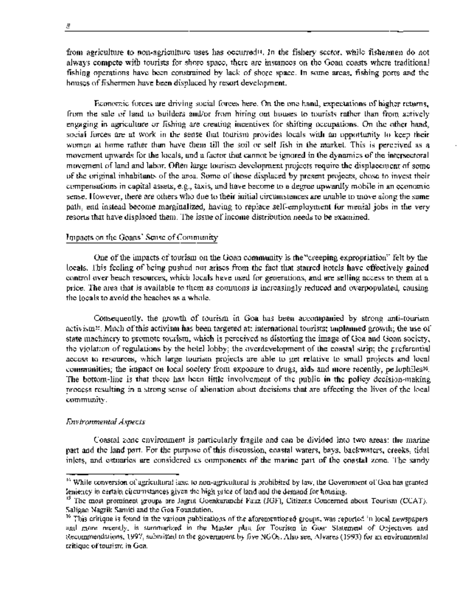from agriculture to non-agriculture uses has occurredl4. In the fishery sector, while fishermen do not always compete with tourists for shore space, there are instances on the Goan coasts where traditional fishing operations have been constrained by lack of shore space. In some areas, fishing ports and the houses of fishermen have been dispilaced by resort development.

Economic forces are driving social forces here. On the one hand, expectations of higher returns, from the sale of land to builders and/or from hiring out houses to tourists rather than from actively engaging in agriculture or fishing are creating incentives for shifting occupations. On the other hand, social forces are at work in the sense that tourism provides locals with an opportunity to keep their women at home rather than have them till the soil or sell fish in the market. This is perceived as a movement upwards for the locals, and a factor that cannot be ignored in the dynamics of the intersectoral movement of land and labor. Often large tourism development projects require the displacement of some of the original inhabitants of the area. Some of those displaced by present projects, chose to invest their compensations in capital assets, e.g., taxis, and have become to a degree upwardly mobile in an economic sense. However, there are others who due to their initial circumstances are unable to move along the same path, and instead become marginalized, having to replace self-employment for menial jobs in the very resorts that have displaced them. The issue of income distribution needs to be examined.

### Impacts on the Goans' Sense of Community

One of the impacts of tourism on the Goan community is the "creeping expropriation" felt by the locals. This feeling of being pushed out arises from the fact that starred hotels have effectively gained control over beach resources, which locals have used for generations, and are selling access to them at a price. The area that is available to them as commons is increasingly reduced and overpopulated, causing the locals to avoid the beaches as a whole.

Consequently, the growth of tourism in Goa has been accompanied by strong anti-tourism activism'5. Much of this activism has been targeted at: international tourists; unplanned growth; the use of state machinery to promote tourism, which is perceived as distorting the image of Goa and Goan society, the violation of regulations by the hotel lobby; the overdevelopment of the coastal strip; the preferential access to resources, which large tourism projects are able to get relative to small projects and local communities; the impact on local society from exposure to drugs, aids and more recently, pedophiles16. The bottom-line is that there has been little involvement of the public in the policy decision-making process resulting in a strong sense of alienation about decisions that are affecting the lives of the local community.

### *Environmental Aspects*

Coastal zone environment is particularly fragile and can be divided into two areas: the marine part and the land part. For the purpose of this discussion, coastal waters, bays, backwaters, creeks, tidal inlets, and estuaries are considered as components of the marine part of the coastal zone. The sandy

<sup>&</sup>lt;sup>14</sup> While conversion of agricultural land to non-agricultural is prohibited by law, the Government of Goa has granted leniency in certain circumstances given the high price of land and the demand for housing.

<sup>&</sup>lt;sup>15</sup> The most prominent groups are Jagrut Goenkaranchi Fauz (JGF), Citizens Concerned about Tourism (CCAT), Saligao Nagrik Samiti and the Goa Foundation.

<sup>&</sup>lt;sup>16</sup> This critique is found in the various publications of the aforementioned groups, was reported in local newspapers and more recently, is summarized in the Master plan for Tourism in Goa: Statement of Objectives and Recommendations, 1997, submitted to the govermnent by five NGOs. Also see, Alvares (1993) for an environmental critique of tourism in Goa.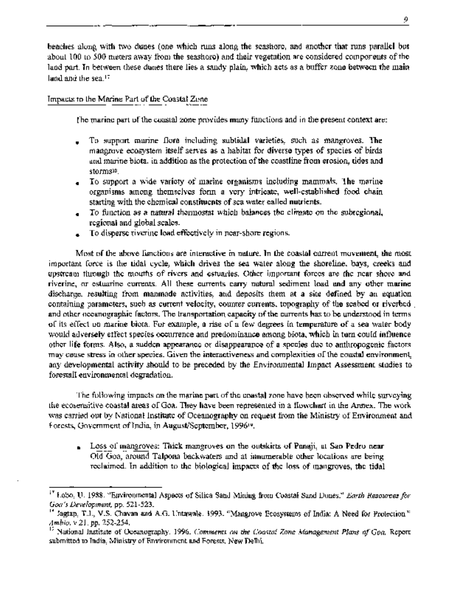beaches along with two dunes (one which runs along the seashore, and another that runs parallel but about 100 to 500 meters away from the seashore) and their vegetation are considered components of the land part. In between these dunes there lies a sandy plain, which acts as a buffer zone between the main land and the sea.<sup>17</sup>

### Impacts to the Marine Part of the Coastal Zone

The marine part of the coastal zone provides many functions and in the present context are:

- . To support marine flora including subtidal varieties, such as mangroves. The mangrove ecosystem itself serves as a habitat for diverse types of species of birds and marine biota, in addition as the protection of the coastline from erosion, tides and stormsl<sup>8</sup> .
- \* To support a wide variety of marine organisms including mammals. The marine organisms among themselves form a very intricate, well-established food chain starting with the chemical constituents of sea water called nutrients.
- To function as a natural thermostat which balances the climate on the subregional, regional and global scales.
- To disperse riverine load effectively in near-shore regions.

Most of the above functions are interactive in nature. In the coastal current movement, the most important force is the tidal cycle, which drives the sea water along the shoreline, bays, creeks and upstream through the mouths of rivers and estuaries. Other important forces are the near shore and riverine, or estuarine currents. All these currents carry natural sediment load and any other marine discharge, resulting from manmade activities, and deposits them at a site defined by an equation containing parameters, such as current velocity, counter currents, topography of the seabed or riverbed and other oceanographic factors. The transportation capacity of the currents has to be understood in terms of its effect on marine biota. For example, a rise of a few degrees in temperature of a sea water body would adversely effect species occurrence and predominance among biota, which in turn could influence other life forms. Also, a sudden appearance or disappearance of a species due to anthropogenic factors may cause stress in other species. Given the interactiveness and complexities of the coastal environment, any developmental activity should to be preceded by the Environmental Impact Assessment studies to forestall environmental degradation.

The following impacts on the marine part of the coastal zone have been observed while surveying the ecosensitive coastal areas of Goa. They have been represented in a flowchart in the Annex. The work was carried out by National Institute of Oceanography on request from the Ministry of Environment and Forests, Government of India, in August/September, 199619.

Loss of mangroves: Thick mangroves on the outskirts of Panaji, at Sao Pedro near  $\blacksquare$ Old Goa, around Talpona backwaters and at innumerable other locations are being reclaimed. In addition to the biological impacts of the loss of mangroves, the tidal

<sup>&</sup>lt;sup>17</sup> Lobo, U. 1988. "Environmental Aspects of Silica Sand Mining from Coastal Sand Dunes." *Earth Resources for Goa 's Development,* pp. 521-523.

<sup>18</sup>Jagtap, T.J., V.S. Chavan and A.G. Untawale. 1993. "Mangrove Ecosystems of India: A Need for Protection." *Ambio.* v 21, pp. 252-254.

<sup>19</sup> National Institute of Oceanography. 1996. *Comments on the Coastal Zone Management Plans of Goa.* Report submitted to India, Ministry of Environment and Forests. New Delhi.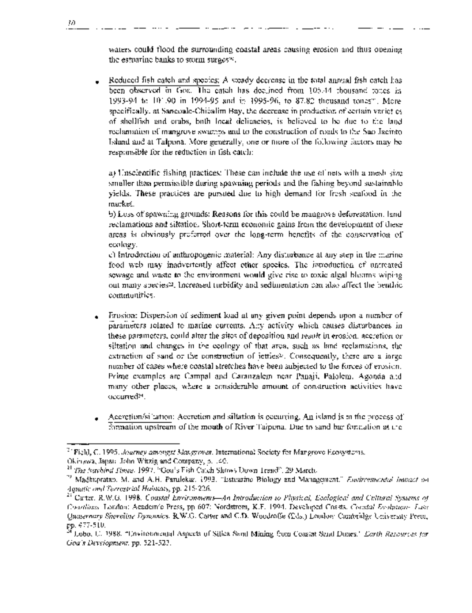waters could flood the surrounding coastal areas causing erosion and thus opening the estuarine banks to storm surges $\mathbb{Z}_2$ 

\* Reduced *fish* catch and, species: A steady decrease in the total annual fish catch has been observed in Goa. The catch has declined from 105.44 thousand tones in 1993-94 to 101.90 in 1994-95 and in 1995-96, to 87.82 thousand tones". More specifically, at Sancoale-Chicalim Bay, the decrease in production of certain variet: es of shellfish and crabs, both local delicacies, is believed to be due to the land reclamation of mangrove swamps and to the construction of roads to the Sao Jacirito Island and at Talpona. More generally, one or more of the following factors may be responsible for the reduction in fish catch:

a) Unscientific fishing practices: These can include the use of nets with a mesh size smaller than permissible during spawning periods and the fishing beyond sustainable yields. These practices are pursued due to high demand for fresh seafood in the market.

b) Loss of spawning grounds: Reasons for this could be mangrove deforestation, land reclamations and siltation. Short-term economic gains from the development of these areas is obviously preferred over the long-term benefits of the conservation of ecology.

c) Introduction of anthropogenic material: Any disturbance at any step in the marine food web may inadvertently affect other species. The introduction of untreated sewage and waste to the environment would give rise to toxic algal blooms wiping out many species<sup>22</sup>. Increased turbidity and sedimentation can also affect the benthic communities.

- Frosion: Dispersion of sediment load at any given point depends upon a number of parameters related to marine currents. Any activity which causes disturbances in these parameters, could alter the sites of deposition and result in erosion, accretion or siltation and changes in the ecology of that area, such as land reclamations, the extraction of sand or the construction of jetties23. Consequently, there are a large number of cases where coastal stretches have been subjected to the forces of erosion. Prime examples are Campal and Caranzalem near Panaji, Palolem, Agonda and many other places, where a considerable amount of construction activities have occurred24.
- Accretion/siltation: Accretion and siltation is occurring. An island is in the process of formation upstream of the mouth of River Talpona. Due to sand bar formation at t:he

<sup>20</sup>Field, C. 1995. *Journey amongst Mangroves.* International Society for Mangrove Ecosystems. Okinawa, Japan: John Witzig and Company, p. 140.

<sup>21</sup>*The Navhind Times.* 1997. "Goa's Fish Catch Shows Down Trend". 29 March.

<sup>22</sup>Madhupratap, M. and A.H. Parulekar. 1993. "Estuarine Biology and Management." *Environmental Impact on Aquatic and Terrestrial Habitats,* pp. 215-226.

<sup>23</sup>Carter, R.W.G. 1998. *Coastal Environments-An Introduction to Physical, Ecological and Cultural Systems of Coastlines,* London: Academic Press, pp 607; Nordstrom, K.F. 1994. Developed Coasts. *Coastal Evolution-Late Quaternary Shoreline Dynamics.* R.W.G. Carter and C.D. Woodroffe (Eds.) London: Cambridge Univeisity Press, pp. 477-5 10.

<sup>24</sup>Lobo, U. 1988. "Environmental Aspects of Silica Sand Mining from Coastal Sand Dunes." *Earth Resources for Goa's Development,* pp. 521-523.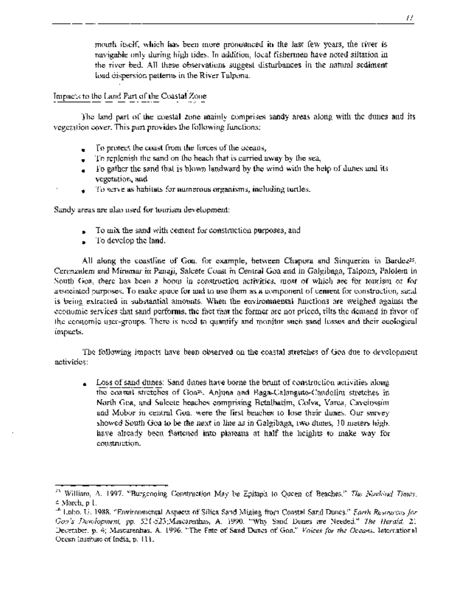mouth itself, which has been more pronounced in the last few years, the river is navigable only during high tides. In addition, local fishermen have noted siltation in the river bed. All these observations suggest disturbances in the natural sediment load dispersion patterns in the River Talpona.

### Impacts to the Land Part of the Coastal Zone

The land part of the coastal zone mainly comprises sandy areas along with the dunes and its vegetation cover. This part provides the following functions:

- To protect the coast from the forces of the oceans,
- To replenish the sand on the beach that is carried away by the sea,  $\bullet$
- To gather the sand that is blown landward by the wind with the help of dunes and its ٠ vegetation, and
- \* To serve as habitats for numerous organisms, including turtles.

Sandy areas are also used for tourism development:

- To mix the sand with cement for construction purposes, and
- \* To develop the land.

All along the coastlise of Goa, for example, between Chapora and Sinquerim in Bardez<sup>25</sup>. Caranzalem and Miramar in Panaji, Salcete Coast in Central Goa and in Galgibaga, Talpona, Palolem in South Goa, there has been a boom in construction activities, most of which are for tourism or for associated purposes. To make space for and to use them as a component of centent for construction, sand is being extracted in substantial amounts. When the environmental functions are weighed against the economic services that sand performs, the fact that the former are not priced, tilts the demand in favor of the economic user-groups. There is need to quantify and monitor such sand losses and their ecological impacts.

The following impacts have been observed on the coastal stretches of Goa due to development activities:

Loss of sand dunes: Sand dunes have borne the brunt of construction activities along the coastal stretches of Goa26. Anjuna and Baga-Calangute-Candolim stretches in North Goa, and Salcete beaches comprising Betalbatim, Colva, Varca, Cavelossim and Mobor in central Goa, were the first beaches to lose their dunes. Our survey showed South Goa to be the next in line as in Galgibaga, two dunes, 10 meters high, have already been flattened into plateaus at half the heights to make way for construction.

**<sup>25</sup>**William, A. 1997. "Burgeoning Construction May be Epitaph to Queen of Beaches." *The Navhind Times.* 4 March, p 1.

<sup>2</sup>Lobo, U. 1988. "Environmental Aspects of Silica Sand Mining from Coastal Sand Dunes." *Earth Resources for Goa's Development,* pp. 521-523;Mascarenhas, A. 1990. "Why Sand Dunes are Needed." *The Herald.* 21 December, p. 4; Mascarenhas, A. 1996. "The Fate of Sand Dunes of Goa." *Voices for the Oceans.* Intemational Ocean Institute of India, p. **1 1 1.**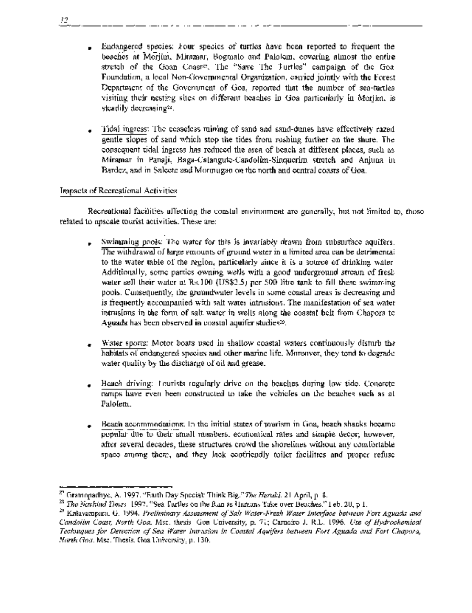- Endangered species: Four species of turtles have been reported to frequent the beaches at Morjim, Miramar, Bogmalo and Palolem, covering almost the entire stretch of the Goan Coast<sup>27</sup>. The "Save The Turtles" campaign of the Goa-Foundation, a local Non-Governmental Organization, carried jointly with the Forest Department of the Government of Goa, reported that the number of sea-turtles visiting their nesting sites on different beaches in Goa particularly in Morjim, is steadily decreasing<sup>2s</sup>.
- \* Tidal ingress: The ceaseless mining of sand and sand-dunes have effectively razed gentle slopes of sand which stop the tides from rushing further on the shore. The consequent tidal ingress has reduced the area of beach at different places, such as Miramar in Panaji, Baga-Calangute-Candolim-Sinquerim stretch and Anjuna in Bardez, and in Salcete and Mormugao on the north and central coasts of Goa.

### Impacts of Recreational Activities

Recreational facilities affecting the coastal environment are generally, but not limited to, those related to upscale tourist activities. These are:

- Swimming pools: The water for this is invariably drawn from subsurface aquifers. The withdrawal of large emounts of ground water in a limited area can be detrimental to the water table of the region, particularly since it is a source of drinking water. Additionally, some parties owning wells with a good underground stream of fresh water sell their water at Rs.100 (US\$2.5) per 500 litre tank to fill these swimming pools. Consequently, the groundwater levels in some coastal areas is decreasing and is frequently accompanied with salt water intrusions. The manifestation of sea water intrusions in the form of salt water in wells along the coastal belt from Chapora to Aguada has been observed in coastal aquifer studies29.
- \* Water sports: Motor boats used in shallow coastal waters continuously disturb the habitats of endangered species and other marine life. Moreover, they tend to degrade water quality by the discharge of oil and grease.
- Heach driving: Tourists regularly drive on the beaches during low tide. Concrete ramps have even been constructed to take the vehicles on the beaches such as at Palolem.
- \* Beach accommodations: In the initial states of tourism in Goa, beach shacks became popular due to their small numbers, economical rates and simple decor; however, after several decades, these structures crowd the shorelines without any comfortable space among them, and they lack ecofriendly toilet facilities and proper refuse

*12*

<sup>27</sup>Gramopadhye, A. 1997. "Earth Day Special: Think Big." *The Herald.* 21 April, p. 8.

**<sup>28</sup>***The Navhind Times.* 1997. "Sea Turtles on the Run as Humans Take over Beaches." Feb. 20, p 1.

<sup>29</sup>Kalavampara, G. 1994. *Preliminary Assessment of Salt Water-Fresh Water Interface between Fort Aguada and Candolim Coast, North Goa.* Msc. thesis. Goa University, p. 71; Carneiro J. R.L. 1996. *Use of Hydrochemical Techniques for Detection of Sea Water Intrusion in Coastal Aquifers between Fort Aguada and Fort Chapora, North Goa.* Msc. Thesis. Goa University, p. 130.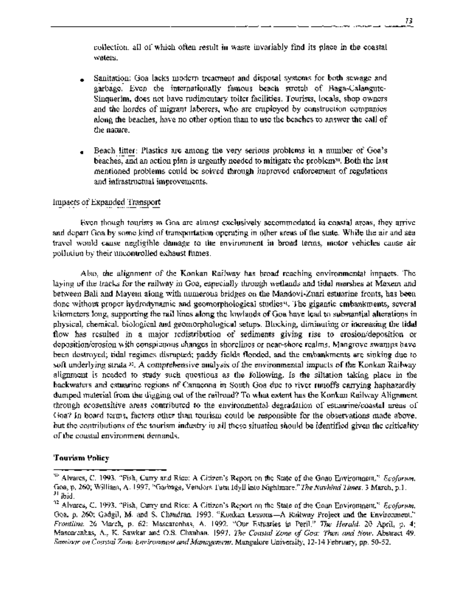collection, all of which often result in waste invariably find its place in the coastal waters.

- Sanitation: Goa lacks modern treatment and disposal systems for both sewage and garbage. Even the internationally famous beach stretch of Baga-Calangute-Sinquerim, does not have rudimentary toilet facilities. Tourists, locals, shop owners and the hordes of migrant laborers, who are employed by construction companies along the beaches, have no other option than to use the beaches to answer the call of the nature.
- Beach litter: Plastics are among the very serious problems in a number of Goa's beaches, and an action plan is urgently needed to mitigate the problem<sup>30</sup>. Both the last mentioned problems could be solved through improved enforcement of regulations and infrastructual improvements.

### Impacts of Expanded Transport

Even though tourists in Goa are almost exclusively accommodated in coastal areas, they arrive and depart Goa by some kind of transportation operating in other areas of the state. While the air and sea travel would cause negligible damage to the environment in broad terms, motor vehicles cause air pollution by their uncontrolled exhaust fumes.

Also, the alignment of the Konkan Railway has broad reaching environmental impacts. The laying of the tracks for the railway in Goa, especially through wetlands and tidal marshes at Maxem and between Bali and Mayem along with numerous bridges on the Mandovi-Zuari estuarine fronts, has been done without proper hydrodynamic and geomorphological studies31. The gigantic embankments, several kilometers long, supporting the rail lines along the lowlands of Goa have lead to substantial alterations in physical, chemical, biological and geomorphological setups. Blocking, diminuting or increasing the tidal flow has resulted in a major redistribution of sediments giving rise to erosion/deposition or deposition/erosion with conspicuous changes in shorelines or near-shore realms. Mangrove swamps have been destroyed; tidal regimes disrupted; paddy fields flooded, and the embankments are sinking due to soft underlying strata <sup>32</sup>. A comprehensive analysis of the environmental impacts of the Konkan Railway alignment is needed to study such questions as the following. Is the siltation taking place in the backwaters and estuarine regions of Canacona in South Goa due to river runoffs carrying haphazardly dumped material from the digging out of the railroad? To what extent has the Konkan Railway Alignment through ecosensitive areas contributed to the environmental degradation of estuarine/coastal areas of Goa? In board terms, factors other than tourism could be responsible for the observations made above, but the contributions of the tourism industry in all these situation should be identified given the criticality of the coastal environment demands.

### **Tourism Policy**

<sup>30</sup>Alvares, C. 1993. "Fish, Curry and Rice: A Citizen's Report on the State of the Goan Environment." *Ecoforum.* Goa, p. 260; William, A. 1997. "Garbage, Vendors Turn Idyll into Nightmare." *The Navhind Times.* 3 March, p.1. <sup>31</sup>ibid.

<sup>32</sup>Alvares, C. 1993. "Fish, Curry and Rice: A Citizen's Report on the State of the Goan Environment." *Ecoforum.* Goa, p. 260; Gadgil, M. and S. Chandran. 1993. "Konkan Lessons-A Railway Project and the Environment." *Frontline.* 26 March, p. 62; Mascarenhas, A. 1992. "Our Estuaries in Peril." *The Herald.* 20 April, p. 4; Mascarenhas, A., K. Sawkar and O.S. Chauhan. 1997. *The Coastal Zone of Goa: Then and Now.* Abstract 49. *Seminar on Coastal Zone Environment and Management.* Mangalore University, 12-14 February, pp. 50-52.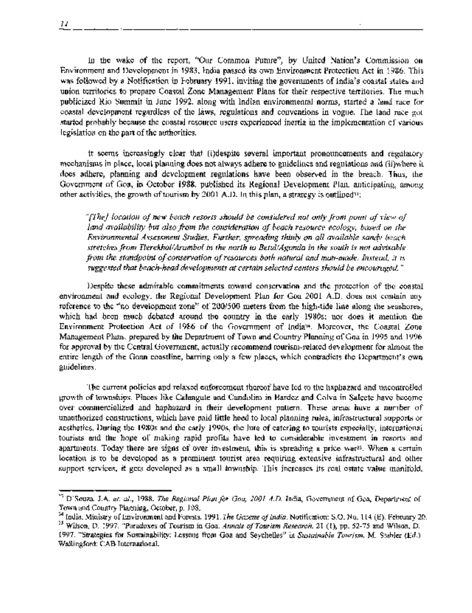In the wake of the report, "Our Common Future", by United Nation's Commission on Environment and Development in 1983, India passed its own Environment Protection Act in 1986. This was followed by a Notification in February 1991, inviting the governments of India's coastal states and union territories to prepare Coastal Zone Management Plans for their respective territories. The much publicized Rio Summit in June 1992, along with Indian environmental norms, started a land race for coastal development regardless of the laws, regulations and conventions in vogue. The land race got started probably because the coastal resource users experienced inertia in the implementation of various legislation on the part of the authorities.

It seems increasingly clear that (i)despite several important pronouncements and regulatory mechanisms in place, local planning does not always adhere to guidelines and regulations and (ii)where it does adhere, planning and development regulations have been observed in the breach. Thus, the Government of Goa, in October 1938, published its Regional Development Plan, anticipating, among other activities, the growth of tourism by 2001 A.D. In this plan, a strategy is outlined<sup>31</sup>:

*"[The] location of new beach resorts should be considered not only from point of view of land availability but also from the consideration of beach resource ecology, based on the Environmental Assessment St'udies. Further, spreading thinly on all available sandy beach stretches from Tlerekhol/Arambol in the north to Betul/Agonda in the south is not advisable from the standpoint of conservation of resources both natural and man-made. Instead, it is suggested that beach-head developments at certain selected centers should be encouraged. "*

Despite these admirable commitments toward conservation and the protection of the coastal environment and ecology, the Regional Development Plan for Goa 2001 A.D. does not contain any reference to the "no development zone" of 200/500 meters from the high-tide line along the seashores, which had been much debated around the country in the early 1980s; nor does it mention the Environment Protection Act of 1986 of the Government of India34. Moreover, the Coastal Zone Management Plans, prepared by the Department of Town and Country Planning of Goa in 1995 and 1996 for approval by the Central Government, actually recommend tourism-related development for almost the entire length of the Goan coastline, barring only a few places, which contradicts the Department's own guidelines.

The current policies and relaxed enforcement thereof have led to the haphazard and uncontrolled growth of townships. Places like Calangute and Candolim in Bardez and Colva in Salcete have become over commercialized and haphazard in their development pattern. These areas have a number of unauthorized constructions, which have paid little heed to local planning rules, infrastructural supports or aesthetics. During the 1980s and the early 1990s, the lure of catering to tourists especially, international tourists and the hope of making rapid profits have led to considerable investment in resorts and apartments. Today there are signs of over investment, this is spreading a price war<sup>25</sup>. When a certain location is to be developed as a prominent tourist area requiring extensive infrastructural and other support services, it gets developed as a small township. This increases its real estate value manifold,

<sup>33</sup>D'Souza. J.A. *et. al., 1988. The Regional Plan for Goa, 2001 A.D.* India, Government of Goa, Department of Town and Country Planning, October, p. 108.

<sup>&</sup>lt;sup>34</sup> India, Ministry of Environment and Forests. 1991. The Gazette of India. Notification: S.O. No. 114 (E), February 20.

<sup>35</sup>Wilson, D. 1997. "Paradoxes of Tourism in Goa. *Annals of Tourism Research. 21* (1), pp. *52-75* and Wilson, D. 1997. "Strategies for Sustainability: Lessons from Goa and Seychelles" in *Sustainable Tourism.* M. Stabler (Ed.) Wallingford: CAB International.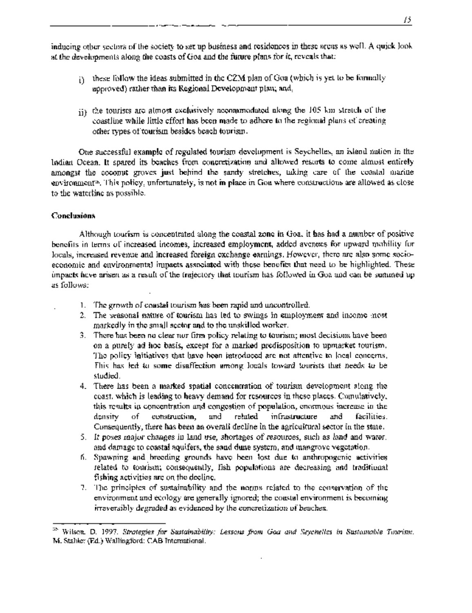inducing other sectors of the society to set up business and residences in these areas as well. A quick look at the developments along the coasts of Goa and the future plans for it, reveals that:

- these follow the ideas submitted in the CZM plan of Goa (which is yet to be formally iY. approved) rather than its Regional Development plan; and,
- ii) the tourists are almost exclusively accommodated along the 105 km stretch of the coastline while little effort has been made to adhere to the regional plans of creating other types of tourism besides beach tourism.

One successful example of regulated tourism development is Seychelles, an island nation in the Indian Ocean. It spared its beaches from concretization and allowed resorts to come almost entirely amongst the coconut groves just behind the sandy stretches, taking care of the coastal marine environment<sup>36</sup>. This policy, unfortunately, is not in place in Goa where constructions are allowed as close to the waterline as possible.

### **Conclusions**

Although tourism is concentrated along the coastal zone in Goa, it has had a number of positive benefits in terms of increased incomes, increased employment, added avenues for upward mobility for locals, increased revenue and increased foreign exchange earnings. However, there are also some socioeconomic and environmental impacts associated with these benefits that need to be highlighted. These impacts have arisen as a result of the trajectory that tourism has followed in Goa and can be summed up as follows:

- I . The growth of coastal tourism has been rapid and uncontrolled.
- 2. The seasonal nature of tourism has led to swings in employment and income most markedly in the small sector and to the unskilled worker.
- 3. There has been no clear nor firm policy relating to tourism; most decisions have been on a purely ad hoc basis, except for a marked predisposition to upmarket tourism. The policy initiatives that have been introduced are not attentive to local concerns. This has led to some disaffection among locals toward tourists that needs to be studied.
- 4. There has been a marked spatial concentration of tourism development along the coast, which is leading to heavy demand for resources in these places. Cumulatively, this results in concentration and congestion of population, enormous increase in the density of construction, and related infrastructure and facilities. Consequently, there has been an overall decline in the agricultural sector in the state.
- *5.* It poses major changes in land use, shortages of resources, such as land and water, and damage to coastal aquifers, the sand dune system, and mangrove vegetation.
- 6. Spawning and breeding grounds have been lost due to anthropogenic activities related to tourism; consequently, fish populations are decreasing and traditional fishing activities are on the decline.
- 7. The principles of sustainability and the norms related to the conservation of the environment and ecology are generally ignored; the coastal environment is becoming irreversibly degraded as evidenced by the concretization of beaches.

<sup>&</sup>lt;sup>35</sup> Wilson, D. 1997. *Strategies for Sustainability: Lessons from Goa and Seychelles in Sustamable Tourism*. M. Stabler (Ed.) Wallingford: CAB International.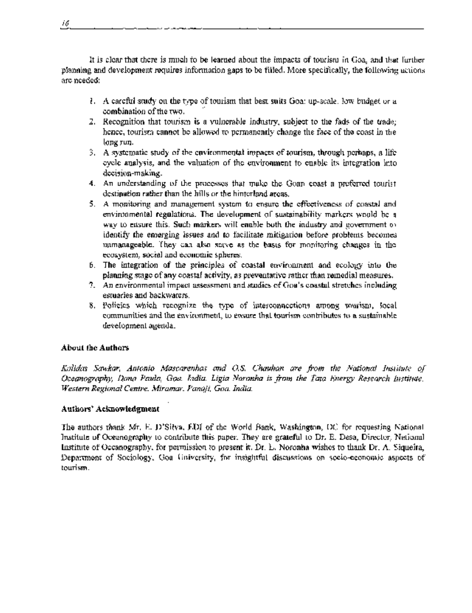It is clear that there is much to be learned about the impacts of tourism in Goa, and that further planning and development requires information gaps to be filled. More specifically, the following actions are needed:

- 1. A careful study on the type of tourism that best suits Goa: up-scale, low budget or a combination of the two.
- 2. Recognition that tourisrm is a vulnerable industry, subject to the fads of the trade; hence, tourism cannot be allowed to permanently change the face of the coast in the long run.
- 3. A systematic study of the environmental impacts of tourism, through perhaps, a lif'e cycle analysis, and the valuation of the environment to enable its integration into decision-making.
- 4. An understanding of the processes that make the Goan coast a preferred tourist destination rather than the hills or the hinterland areas.
- *5.* A monitoring and management system to ensure the effectiveness of coastal and environmental regulations. The development of sustainability markers would be a way to ensure this. Such markers will enable both the industry and government of identify the emerging issues and to facilitate mitigation before problems becomes unmanageable. They can also serve as the basis for monitoring changes in the ecosystem, social and economic spheres.
- 6. The integration of the principles of coastal environment and ecology into the planning stage of any coastal activity, as preventative rather than remedial measures.
- 7. An environmental impact assessment and studies of Goa's coastal stretches including estuaries and backwaters.
- 8. Policies which recognize the type of interconnections among tourism, local communities and the environment, to ensure that tourism contributes to a sustainable development agenda.

### **About the Authors**

*Kalidas Sawkar, Antonio Mascarenhas and O.S. Chauhan are from the National Institute of Oceanography, Dona Paula, Goa, India. Ligia Noronha is from the Tata Energy Research i'nstitute, Western Regional Centre, Miramar, Panaji, Goa, India.*

### **Authors' Acknowledgment**

The authors thank Mr. E. D'Silva, EDI of the World Bank, Washington, DC for requesting National Institute of Oceanography to contribute this paper. They are grateful to Dr. E. Desa, Director, National Institute of Oceanography, for permission to present it. Dr. L. Noronha wishes to thank Dr. A. Siqueira, Department of Sociology, Goa University, for insightful discussions on socio-economic aspects of tourism.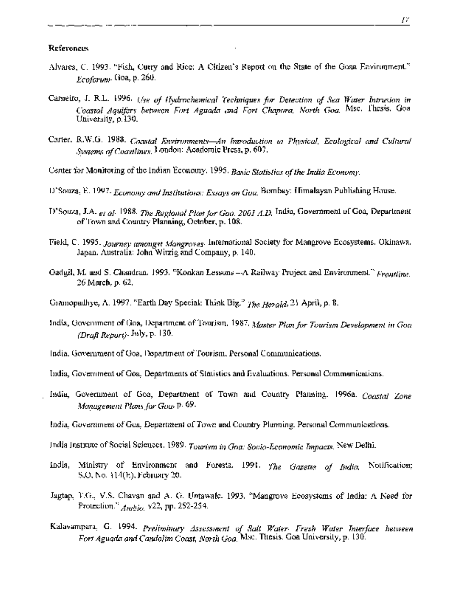#### **References**

- Alvares, C. 1993. "Fish, Curry and Rice: A Citizen's Report on the State of the Goan Environment." *Ecoforum.* Goa, p. 260.
- Carneiro, J. R.L. 1996. *Use of Hydrochemical Techniques for Detection of Sea Water Intrusion in Coastal Aquifers between Fort Aguada and Fort Chapora, North Goa* Msc. Thesis. Goa University, p.130.
- Carter, R.W.G. 1988. *Coastal Environments-An Introduction to Physical, Ecological and Cultural Systems of Coastlines.* London: Academic Press, p. 607.
- Center for Monitoring of the Indian Economy. 1995. *Basic Statistics of the India Economy.*
- D'Souza, E. 1997. *Economy and Institutions: Essays on Goa* Bombay: Himalayan Publishing House.
- D' Souza, J.A. *et al.* 1988. *The Regional Plan for Goa, 2001 A.D.* India, Government of Goa, Department of Town and Country Planning, October, p. 108.
- Field, C. 1995. *Journey amongst Mangroves.* International Society for Mangrove Ecosystems. Okinawa, Japan. Australia: John Witzig and Company, p. 140.
- Gadgil, M. and S. Chandran. 1993. "Konkan Lessons-A Railway Project and Environment." *Frontline.* 26 March, p. 62.
- Gramopadhye, A. 1997. "Earth Day Special: Think Big." *The Herald,* 21 April, p. 8.
- India, Government of Goa, Department of Tourism. 1987. *Master Plan for Tourism Development in Goa (Draft Report). July,* p. 130.
- India, Government of Goa, Department of Tourism. Personal Communications.
- India, Government of Goa, Departments of Statistics and Evaluations. Personal Communications.
- India, Government of Goa, Department of Town and Country Planning. 1996a. *Coastal Zone Management Plans for Goa,* p. 69.
- India, Government of Goa, Department of Town and Country Planning. Personal Communications.
- India Institute of Social Sciences. 1989. *Tourism in Goa: Socio-Economic Impacts.* New Delhi.
- India, Ministry of Environment and Forests. 1991. *The Gazette of India* Notification; S.O. No. 114(E), February 20.
- Jagtap, T.G., V.S. Chavan and A. G. Untawale. 1993. "Mangrove Ecosystems of India: A Need for Protection." *Ambio.* v22, pp. 252-254.
- Kalavampara, G. 1994. *Preliminary Assessment of Salt Water-Fresh Water Interface between Fort Aguada and Candolim Coast, North Goa.* Msc. Thesis. Goa University, p. 130.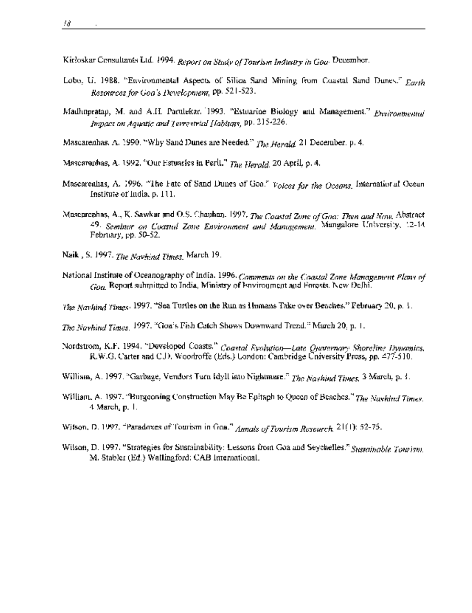Kirloskar Consultants Ltd. 1994. *Report on Study of Tourism Industry in Goa-* December.

- Lobo, U. 1988. "Environmental Aspects of Silica Sand Mining from Coastal Sand Dunes." *Earth Resourcesfor Goa's Development,* pp. 521-523.
- Madhupratap, M. and A.H. Parulekar. 1993. "Estuarine Biology and Management." *Environmental Impact on Aquatic and Terrestrial Habitats,* pp. 215-226.
- Mascarenhas, A. 1990. "Why Sand Dunes are Needed." *The Herald* 21 December, p. 4.

Mascarenhas, A. 1992. "Our Estuaries in Peril." *The Herald.* 20 April, p. 4.

- Mascarenhas, A. 1996. "The Fate of Sand Dunes of Goa." *Voices for the Oceans.* International Ocean Institute of India, p. 111.
- Mascarenhas, A., K. Sawkar and O.S. Chauhan. 1997. *The Coastal Zone of Goa: Then and Now.* Abstract *49. Seminar on Coastal Zogne Environment and Management.* Mangalore University, 12-14 February, pp. 50-52.
- Naik, S. 1997. *The Navhind Times.* March 19.
- National Institute of Oceanography of India. 1996. *Comments on the Coastal Zone Managemeni Plans of Goa* Report submitted to India, Ministry of Environment and Forests. New Delhi.
- *The Navhind Times.* 1997. "Sea Turtles on the Run as Humans Take over Beaches." February 20, p. 1.
- *The Navhind Times.* 1997. "Goa's Fis;h Catch Shows Downward Trend." March 20, p. 1.
- Nordstrom, K.F. 1994. "Developed Coasts." *Coastal Evolution-Late Quaternary Shoreline Dynamics.* R.W.G. Carter and C.D. Woodroffe (Eds.) London: Cambridge University Press, pp. 477-510.
- William, A. 1997. "Garbage, Vendors Turn Idyll into Nightmare." *The Navhind Times.* 3 March, p. 1.
- William, A. 1997. "Burgeoning Construction May Be Epitaph to Queen of Beaches." *The Navhind Times.* 4 March, p. 1.
- Wilson, D. 1997. "Paradoxes of Tourism in *Goa." Annals of Tourism Research.* 21(1): *52-75.*
- Wilson, D. 1997. "Strategies for Sustainability: Lessons from Goa and Seychelles." Sustainable Tourism. M. Stabler (Ed.) Wallingford: CAB International.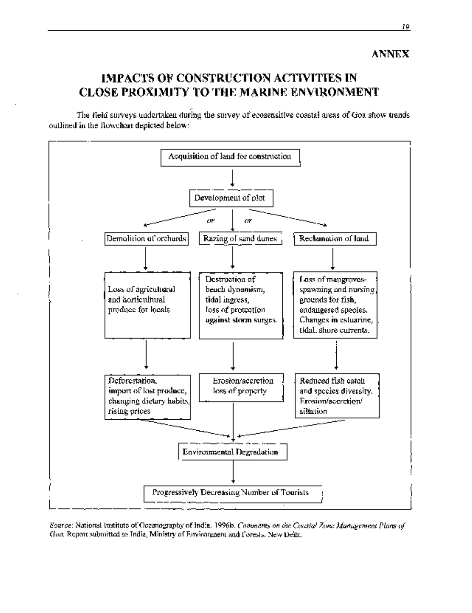# IMPACTS OF CONSTRUCTION ACTIVITIES IN CLOSE PROXIMITY TO THE MARINE ENVIRONMENT

The field surveys undertaken during the survey of ecosensitive coastal areas of Goa show trends outlined in the flowchart depicted below:



*Source:* National Institute of Oceanography of India. 1 996b. *Comments on the Coastal Zone Management Plans of Goa.* Report submitted to India, Ministry of Environment and Forests. New Delhi.

ANNEX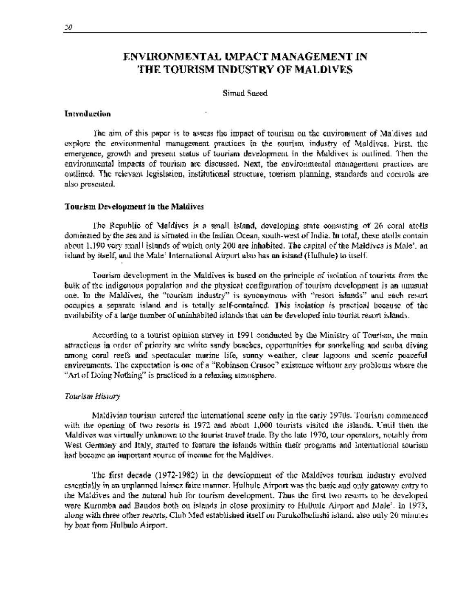### ENVIRONM]ENTAL **IMPACT** MANAGEMENT IN **THE** TOURISM **INDUSTRY OF** MALDIVES

### Simad Saeed

### **Introduction**

The aim of this paper is to assess the impact of tourism on the environment of Maldives and explore the environmental management practices in the tourism industry of Maldives. First, the emergence, growth and present status of tourism development in the Maldives is outlined. Then the environmental impacts of tourism are discussed. Next, the environmental management practices are outlined. The relevant legislation, institutional structure, tourism planning, standards and controls are also presented.

### **Tourism Development in the Maldives**

The Republic of Maldives is a small island, developing state consisting of 26 coral atolls dominated by the sea and is situated in the Indian Ocean, south-west of India. In total, these atolls contain about 1,190 very small islands of which only 200 are inhabited. The capital of the Maldives is Male', an island by itself, and the Male' International Airport also has an island (Hulhule) to itself.

Tourism development in the Maldives is based on the principle of isolation of tourists from the bulk of the indigenous population and the physical configuration of tourism development is an unusual one. In the Maldives, the "tourism industry" is synonymous with "resort islands" and each resort occupies a separate island and is totally self-contained. This isolation is practical because of the availability of a large number of uninhabited islands that can be developed into tourist resort islands.

According to a tourist opinion survey in 1991 conducted by the Ministry of Tourism, the main attractions in order of priority are white sandy beaches, opportunities for snorkeling and scuba diving among coral reefs and spectacular marine life, sunny weather, clear lagoons and scenic peaceful environments. The expectation is one of a "Robinson Crusoe" existence without any problems where the "Art of Doing Nothing" is practiced in a relaxing atmosphere.

### *Tourism History*

Maldivian tourism entered the international scene only in the early 1970s. Tourism commenced with the opening of two resorts in 1972 and about 1,000 tourists visited the islands. Until then the Maldives was virtually unknown to the tourist travel trade. By the late 1970, tour operators, notably from West Germany and Italy, started to feature the islands within their programs and international tourism had become an important source of income for the Maldives.

The first decade (1972-1982) in the development of the Maldives tourism industry evolved essentially in an unplanned laissez faire manner. Hulhule Airport was the basic and only gatewav entry to the Maldives and the natural hub for tourism development. Thus the first two resorts to be developed were Kurumba and Bandos both on islands in close proximity to Hulhule Airport and Male'. In 1973, along with three other resorts, Club Med established itself on Farukolhufushi island, also only 20 minutes by boat from Hulhule Airport.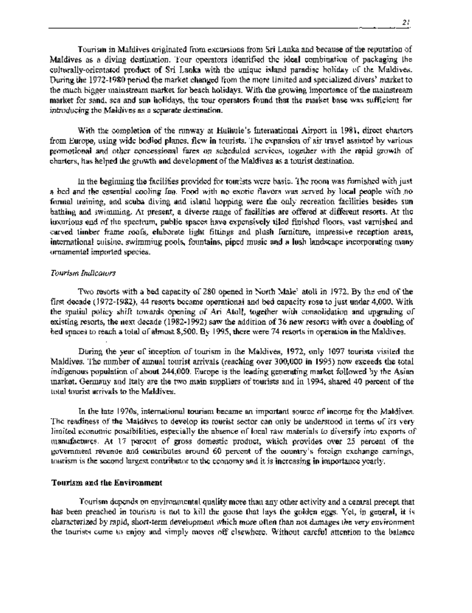Tourism in Maldives originated from excursions from Sri Lanka and because of the reputation of Maldives as a diving destination. Tour operators identified the ideal combination of packaging the culturally-orientated product of Sri Lanka with the unique island paradise holiday of the Maldives. During the 1972-1980 period the market changed from the more limited and specialized divers' market to the much bigger mainstream market for beach holidays. With the growing importance of the mainstream market for sand, sea and sun holidays, the tour operators found that the market base was sufficient for introducing the Maldives as a separate destination.

With the completion of the runway at Hulhule's International Airport in 1981, direct charters from Europe, using wide bodied planes, flew in tourists. The expansion of air travel assisted by various promotional and other concessional fares on scheduled services, together with the rapid growth of charters, has helped the growth and development of the Maldives as a tourist destination.

In the beginning the facilities provided for tourists were basic. The room was furnished with just a bed and the essential cooling fan. Food with no exotic flavors was served by local people with .no formal training, and scuba diving and island hopping were the only recreation facilities besides sun bathing and swimming. At present, a diverse range of facilities are offered at different resorts. At the luxurious end of the spectrum, public spaces have expensively tiled finished floors, vast varnished and carved timber frame roofs, elaborate light fittings and plush furniture, impressive reception areas, international cuisine, swimming pools, fountains, piped music and a lush landscape incorporating many ornamental imported species.

### *Tourism Indicators*

Two resorts with a bed capacity of 280 opened in North Male' atoll in 1972. By the end of the first decade (1972-1982), 44 resorts became operational and bed capacity rose to just under 4,000. With the spatial policy shift towards opening of Ari Atoll, together with consolidation and upgrading of existing resorts, the next decade (1982-1992) saw the addition of 36 new resorts with over a doubling of bed spaces to reach a total of almost 8,500. By 1995, there were 74 resorts in operation in the Maldives.

During the year of inception of tourism in the Maldives, 1972, only 1097 tourists visited the Maldives. The number of annual tourist arrivals (reaching over 300,000 in 1995) now exceeds the total indigenous population of about 244,000. Europe is the leading generating market followed by the Asian market. Germany and Italy are the two main suppliers of tourists and in 1994, shared 40 percent of the total tourist arrivals to the Maldives.

In the late 1970s, international tourism became an important source of income for the Maldives. The readiness of the Maldives to develop its tourist sector can only be understood in terms of its very limited economic possibilities, especially the absence of local raw materials to diversify into exports of manufactures. At 17 percent of gross domestic product, which provides over 25 percent of the government revenue and contributes around 60 percent of the country's foreign exchange earnings, tourism is the second largest contributor to the economy and it is increasing in importance yearly.

### **Tourism and the Environment**

Tourism depends on environmental quality more than any other activity and a central precept that has been preached in tourism is not to kill the goose that lays the golden eggs. Yet, in general, it is characterized by rapid, short-term development which more often than not damages the very environment the tourists come to enjoy and simply moves off elsewhere. Without careful attention to the balance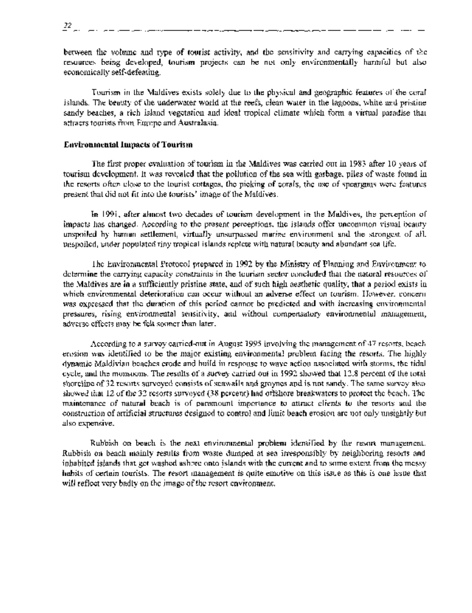*22*

between the volume and type of tourist activity, and the sensitivity and carrying capacities of the resources being developed, tourism projects can be not only environmentally harmful but also economically self-defeating.

Tourism in the Maldives exists solely due to the physical and geographic features of the coral islands. The beauty of the underwater world at the reefs, clean water in the lagoons, white and pristine sandy beaches, a rich island vegetation and ideal tropical climate which form a virtual paradise that attracts tourists from Europe and Australasia.

### **Environmental Impacts of Tourisln**

The first proper evaluation of tourism in the Maldives was carried out in 1983 after 10 years of tourism development. It was revealed that the pollution of the sea with garbage, piles of waste found in the resorts often close to the tourist cottages, the picking of corals, the use of spearguns were features. present that did not fit into the tourists' image of the Maldives.

In 1991, after almost two decades of tourism development in the Maldives, the perception of impacts has changed. According to the present perceptions, the islands offer uncommon visual beauty unspoiled by human settlement, virtually unsurpassed marine environment and the strongest of all, unspoiled, under populated tiny tropical islands replete with natural beauty and abundant sea life.

The Environmental Protocol prepared in 1992 by the Ministry of Planning and Environment to determine the carrying capacity constraints in the tourism sector concluded that the natural resources of the Maldives are in a sufficiently pristine state, and of such high aesthetic quality, that a period exists in which environmental deterioration can occur without an adverse effect on tourism. However, concern was expressed that the duration of this period cannot be predicted and with increasing environmental pressures, rising environmental sensitivity, and without compensatory environmental management, adverse effects may be felt sooner than later.

According to a survey carried-out in August 1995 involving the management of 47 resorts, beach erosion was identified to be the major existing environmental problem facing the resorts. The highly dynamic Maldivian beaches erode and build in response to wave action associated with storms, the tidal cycle, and the monsoons. The results of a survey carried out in 1992 showed that 12.8 percent of the total shoreline of 32 resorts surveyed consists of seawalls and groynes and is not sandy. The same survey also showed that 12 of the 32 resorts surveyed (38 percent) had offshore breakwaters to protect the beach. The maintenance of natural beach is of paramount importance to attract clients to the resorts and the construction of artificial structures designed to control and limit beach erosion are not only unsightly but also expensive.

Rubbish on beach is the next environmental problem identified by the resort management. Rubbish on beach mainly results from waste dumped at sea irresponsibly by neighboring resorts and inhabited islands that get washed ashore onto islands with the current and to some extent from the messy habits of certain tourists. The resort management is quite emotive on this issue as this is one issue that will reflect very badly on the image of the resort environment.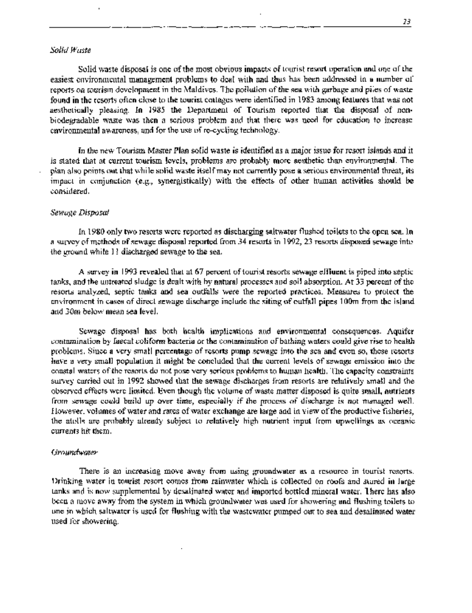### *Solid Waste*

Solid waste disposal is one of the most obvious impacts of tourist resort operation and one of the easiest environmental management problems to deal with and thus has been addressed in a number of reports on tourism development in the Maldives. The pollution of the sea with garbage and piles of waste found in the resorts often close to the tourist cottages were identified in 1983 among features that was not aesthetically pleasing. In 1985 the Department of Tourism reported that the disposal of nonbiodegradable waste was then a serious problem and that there was need for education to increase environmental awareness, and for the use of re-cycling technology.

In the new Tourism Master Plan solid waste is identified as a major issue for resort islands and it is stated that at current tourism levels, problems are probably more aesthetic than environmental. The plan also points out that while solid waste itself may not currently pose a serious environmental threat, its impact in conjunction (e.g., synergistically) with the effects of other human activities should be considered.

### *Sewage Disposal*

In 1980 only two resorts were reported as discharging saltwater flushed toilets to the open sea. In a survey of methods of sewage disposal reported from 34 resorts in 1992, 23 resorts disposed sewage into the ground while 1! discharged sewage to the sea.

A survey in 1993 revealed that at 67 percent of tourist resorts sewage effluent is piped into septic tanks, and the untreated sludge is dealt with by natural processes and soil absorption. At 33 percent of the resorts analyzed, septic tanks and sea outfalls were the reported practices. Measures to protect the environment in cases of direct sewage discharge include the siting of outfall pipes 1OOm from the island and 30m below mean sea level.

Sewage disposal has both health implications and environmental consequences. Aquifer contamination by faecal coliform bacteria or the contamination of bathing waters could give rise to health problems. Since a very small percentage of resorts pump sewage into the sea and even so, these resorts have a very small population it might be concluded that the current levels of sewage emission into the coastal waters of the resorts do not pose very serious problems to human health. The capacity constraints survey carried out in 1992 showed that the sewage discharges from resorts are relatively small and the observed effects were limited. Even though the volume of waste matter disposed is quite small, nutrients from sewage could build up over time, especially if the process of discharge is not managed well. However, volumes of water and rates of water exchange are large and in view of the productive fisheries, the atolls are probably already subject to relatively high nutrient input from upwellings as oceanic currents hit them.

### *Groundwater*

There is an increasing move away from using groundwater as a resource in tourist resorts. Drinking water in tourist resort comes from rainwater which is collected on roofs and stored in large tanks and is now supplemented by desalinated water and imported bottled mineral water. There has also been a move away from the system in which groundwater was used for showering and flushing toilets to one in which saltwater is used for flushing with the wastewater pumped out to sea and desalinated water used for showering.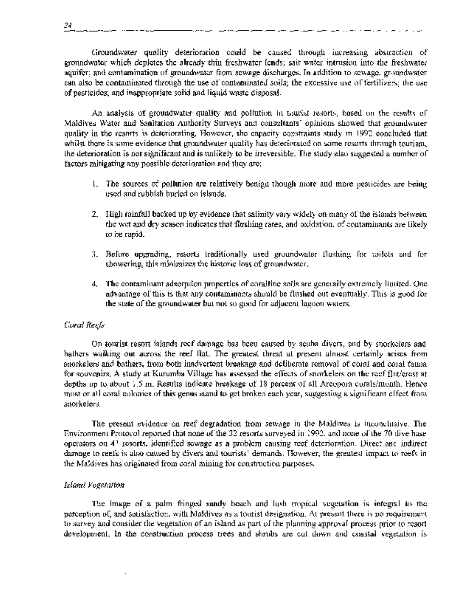Groundwater quality deterioration could be caused through increasing abstraction of groundwater which depletes the aliready thin freshwater lends; salt water intrusion into the freshwater aquifer; and contamination of groundwater from sewage discharges. In addition to sewage, groundwater can also be contaminated through the use of contaminated soils; the excessive use of fertilizers; the use of pesticides; and inappropriate solid and liquid waste disposal.

An analysis of groundwater quality and pollution in tourist resorts, based on the results of Maldives Water and Sanitation Authority Surveys and consultants' opinions showed that groundwater quality in the resorts is deteriorating. However, the capacity constraints study in 1992 concluded that whilst there is some evidence that groundwater quality has deteriorated on some resorts through tourism, the deterioration is not significant and is unlikely to be irreversible. The study also suggested a number of factors mitigating any possible deterioration and they are:

- 1. The sources of pollution are relatively benign though more and more pesticides are being used and rubbish buried on islands.
- 2. High rainfall backed up by evidence that salinity vary widely on many of the islands between the wet and dry season indicates that flushing rates, and oxidation, of contaminants are likely to be rapid.
- 3. Before upgrading, resorts traditionally used groundwater flushing for toilets and for showering, this minimizes the historic loss of groundwater.
- 4. The contaminant adsorption properties of coralline soils are generally extremely limited. One advantage of this is that any contaminants should be flushed out eventually. This is good for the state of the groundwater but not so good for adjacent lagoon waters.

### *Coral Reefs*

On tourist resort islands reef damage has been caused by scuba divers, and by snorkelers and bathers walking out across the reef flat. The greatest threat at present almost certainly arises from snorkelers and bathers, from both inadvertent breakage and deliberate removal of coral and coral fauna for souvenirs. A study at Kurumba Village has assessed the effects of snorkelers on the reef flat/crest at depths up to about 1.5 m. Results indicate breakage of 18 percent of all Arcopora corals/month. Hence most or all coral colonies of this genus stand to get broken each year, suggesting a significant effect from snorkelers.

The present evidence on reef degradation from sewage in the Maldives is inconclusive. The Environment Protocol reported that none of the 32 resorts surveyed in 1992, and none of the 70 dive base operators on 41 resorts, identified sewage as a problem causing reef deterioration. Direct ancl indirect damage to reefs is also caused by divers and tourists' demands. However, the greatest impact to reefs in the Maldives has originated from coral mining for construction purposes.

### *Island Vegetation*

The image of a palm fringed sandy beach and lush tropical vegetation is integral to the perception of, and satisfaction, with Maldives as a tourist designation. At present there is no requirement to survey and consider the vegetation of an island as part of the planning approval process prior to resort development. In the construction process trees and shrubs are cut down and coastal vegetation is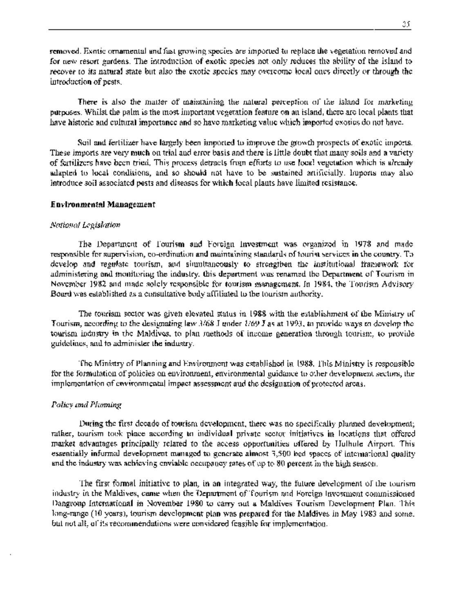removed. Exotic ornamental and fast growing species are imported to replace the vegetation removed and for new resort gardens. The introduction of exotic species not only reduces the ability of the island to recover to its natural state but also the exotic species may overcome local ones directly or through the introduction of pests.

There is also the matter of maintaining the natural perception of the island for marketing purposes. Whilst the palm is the most important vegetation feature on an island, there are local plants that have historic and cultural importance and so have marketing value which imported exotics do not have.

Soil and fertilizer have largely been imported to improve the growth prospects of exotic imports. These imports are very much on trial and error basis and there is little doubt that many soils and a variety of fertilizers have been tried. This process detracts from efforts to use local vegetation which is already adapted to local conditions, and so should not have to be sustained artificially. Imports may also introduce soil associated pests and diseases for which local plants have limited resistance.

### **Environmental Management**

### *National Legislation*

The Department of Tourism and Foreign Investment was organized in 1978 and made responsible for supervision, co-ordination and maintaining standards of tourist services in the country. To develop and regulate tourism, and simultaneously to strengthen the institutional framework for administering and monitoring the industry, this department was renamed the Department of Tourism in November 1982 and made solely responsible for tourism management. In 1984, the Tourism Advisory Board was established as a consultative body affiliated to the tourism authority.

The tourism sector was given elevated status in 1988 with the establishment of the Ministry of Tourism, according to the designating law  $3/68$  J under  $1/69$  J as at 1993, to provide ways to develop the tourism industry in the Maldives, to plan methods of income generation through tourism, to provide guidelines, and to administer the industry.

The Ministry of Planning and Environment was established in 1988. This Ministry is responsible for the formulation of policies on environment, environmental guidance to other development sectors, the implementation of environmental impact assessment and the designation of protected areas.

### *Policy and Planning*

During the first decade of tourism development, there was no specifically planned development; rather, tourism took place according to individual private sector initiatives in locations that offered market advantages principally related to the access opportunities offered by Hulhule Airport. This essentially informal development managed to generate almost 3,500 bed spaces of international quality and the industry was achieving enviable occupancy rates of up to 80 percent in the high season.

The first formal initiative to plan, in an integrated way, the future development of the tourism industry in the Maldives, came when the Department of Tourism and Foreign Investment commissioned Dangroup International in November 1980 to carry out a Maldives Tourism Development Plan. This long-range (10 years), tourism development plan was prepared for the Maldives in May 1983 and some, but not all, of its recommendations were considered feasible for implementation.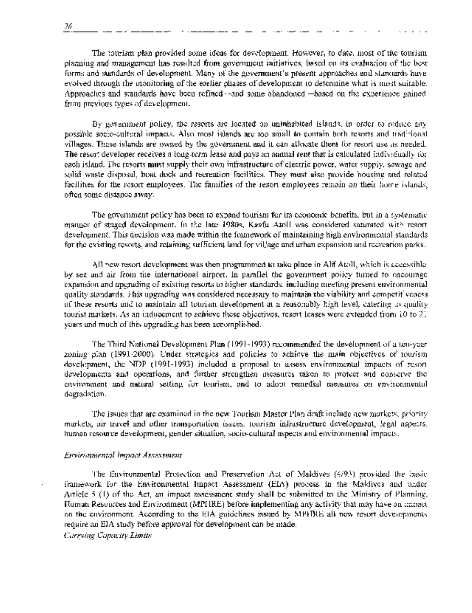The tourism plan provided some ideas for development. However, to date, most of thie tourism planning and management has resulted from government initiatives, based on its evaluation of the best forms and standards of development. Many of the government's present approaches and stancards have evolved through the monitoring of the earlier phases of development to determine what is most suitable. Approaches and standards have been refined-and some abandoned-based on the experience gained from previous types of development.

By government policy, the resorts are located on uninhabited islands, in order to reduce any possible socio-cultural impacts. Also most islands are too small to contain both resorts and traditional villages. These islands are owned by the govemment and it can allocate them for resort use as needed. The resort developer receives a long-term lease and pays an annual rent that is calculated individually for each island. The resorts must supply their own infrastructure of electric power, water supply, sewage and solid waste disposal, boat dock and recreation facilities. They must also provide housing and related facilities for the resort employees. The families of the resort employees remain on their home islands, often some distance away.

The government policy has been to expand tourism for its economic benefits, but in a systematic manner of staged development. In the late 1980s, Kaafu Atoll was considered saturated with resort development. This decision was made within the framework of maintaining high environmental standards for the existing resorts, and retaining sufficient land for village and urban expansion and recreation parks.

All new resort development was then programmed to take place in Alif Atoll, which is accessible by sea and air from the international airport. In parallel the government policy turned to encourage expansion and upgrading of existing resorts to higher standards, including meeting present environmental quality standards. This upgrading was considered necessary to maintain the viability and competitiveness. of these resorts and to maintain all tourism development at a reasonably high level, catering to quality tourist markets. As an inducement to achieve these objectives, resort leases were extended from 10 to 21 years and much of this upgrading has been accomplished.

The Third National Development Plan (1991-1993) recommended the development of a ten-year zoning plan (1991-2000). Under strategies and policies to achieve the main objectives of tourism development, the NDP (1991-1993) included a proposal to assess environmental impacts of resort developments and operations, and further strengthen measures taken to protect and conserve the environment and natural setting for tourism, and to adopt remedial measures on environmental degradation.

The issues that are examined in the new Tourism Master Plan draft include new markets, priority markets, air travel and other transportation issues, tourism infrastructure development, legal aspects, human resource development, gender situation, socio-cultural aspects and environmental impacts.

### *Environmental Impact Assessment*

The Environmental Protection and Preservation Act of Maldives (4/93) provided the basic framework for the Environmental Impact Assessment (EIA) process in the Maldives and under Article  $5$  (1) of the Act, an impact assessment study shall be submitted to the Ministry of Planning, Human Resources and Environment (MPHRE) before implementing any activity that may have an impact on the environment. According to the EIA guidelines issued by MPHRE all new resort developments require an EIA study before approval for development can be made.

*Carrying Capacity Limits*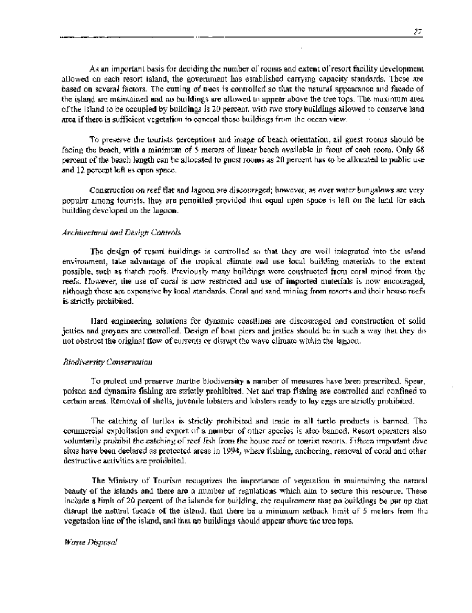As an important basis for deciding the number of rooms and extent of resort facility development allowed on each resort island, the government has established carrying capacity standards. These are based on several factors. The cutting of trees is controlled so that the natural appearance and facade of the island are maintained and no buildings are allowed to appear above the tree tops. The maximum area of the island to be occupied by buildings is 20 percent, with two story buildings allowed to conserve land area if there is sufficient vegetation to conceal these buildings from the ocean view.

To preserve the tourists perceptions and image of beach orientation, all guest rooms should be facing the beach, with a minimum of *5* meters of linear beach available in front of each room. Only 68 percent of the beach length can be allocated to guest rooms as 20 percent has to be allocated to public use and 12 percent left as open space.

Construction on reef flat and lagoon are discouraged; however, as over water bungalows are very popular among tourists, they are permnitted provided that equal open space is left on the land for each building developed on the lagoon.

### *Architectural and Design Controls*

The design of resort buildings is controlled so that they are well integrated into the island environment, take advantage of the tropical climate and use local building materials to the extent possible, such as thatch roofs. Previously many buildings were constructed from coral mined from the reefs. However, the use of coral is now restricted and use of imported materials is now encouraged, although these are expensive by local standards. Coral and sand mining from resorts and their house reefs is strictly prohibited.

Hard engineering solutions for dynamic coastlines are discouraged and construction of solid jetties and groynes are controlled. Design of boat piers and jetties should be in such a way that they do not obstruct the original flow of currents or disrupt the wave climate within the lagoon.

### *Biodiversity Conservation*

To protect and preserve marine biodiversity a number of measures have been prescribed. Spear, poison and dynamite fishing are strictly prohibited. Net and trap fishing are controlled and confined to certain areas. Removal of shells, juvenile lobsters and lobsters ready to lay eggs are strictly prohibited.

The catching of turtles is strictly prohibited and trade in all turtle products is banned. The commercial exploitation and export of a number of other species is also banned. Resort operators also voluntarily prohibit the catching of reef fish from the house reef or tourist resorts. Fifteen important dive sites have been declared as protected areas in 1994, where fishing, anchoring, removal of coral and other destructive activities are prohibited.

The Ministry of Tourism recognizes the importance of vegetation in maintaining the natural beauty of the islands and there are a number of regulations which aim to secure this resource. These include a limit of 20 percent of the islands for building, the requirement that no buildings be put up that disrupt the natural facade of the island, that there be a minimum setback limit of 5 meters from the vegetation line of the island, and that no buildings should appear above the tree tops.

### *Waste Disposal*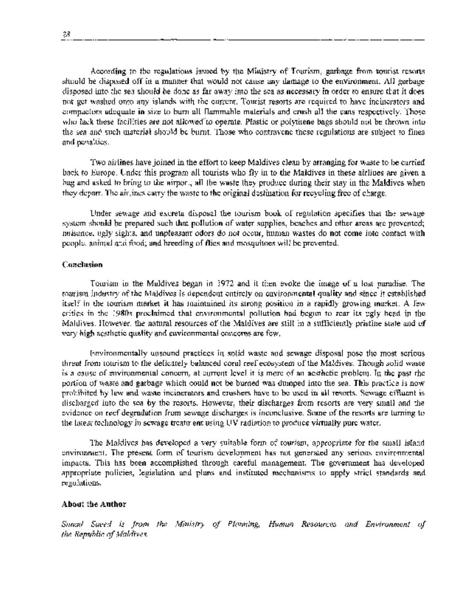According to the regulations issued by the Ministry of Tourism, garbage from tourist resorts should be disposed off in a manner that would not cause any damage to the environment. All garbage disposed into the sea should be done as far away into the sea as necessary in order to ensure that it does not get washed onto any islands with the current. Tourist resorts are required to have incinerators and compactors adequate in size to burn all flammable materials and crush all the cans respectively. Those who lack these facilities are not allowed to operate. Plastic or polythene bags should not be thrown into the sea and such material should be burnt. Those who contravene these regulations are subject to fines and penalties.

Two airlines have joined in the effort to keep Maldives clean by arranging for waste to be carried back to Europe. Under this program all tourists who fly in to the Maldives in these airlines are given a bag and asked to bring to the airport, all the waste they produce during their stay in the Maldives when they depart. The air lines carry the waste to the original destination for recycling free of charge.

Under sewage and excreta disposal the tourism book of regulation specifies that the sewage system should be prepared such that pollution of water supplies, beaches and other areas are prevented; nuisance, ugly sights, and unpleasant odors do not occur, human wastes do not come into contact with people, animal and food; and breeding of flies and mosquitoes will be prevented.

### Conclusion

Tourism in the Maldives began in 1972 and it then evoke the image of a lost paradise. The tourism industry of the Maldives is clependent entirely on environmental quality and since it established itself in the tourism market it has rnaintained its strong position in a rapidly growing market. A few critics in the 1980s proclaimed that environmental pollution had begun to rear its ugly head in the Maldives. However, the natural resources of the Maldives are still in a sufficiently pristine state and of very high aesthetic quality and environmental concerns are few.

Environmentally unsound practices in solid waste and sewage disposal pose the most serious threat from tourism to the delicately balanced coral reef ecosystem of the Maldives. Though solid waste is a cause of environmental concern, at current level it is more of an aesthetic problem. In the past the portion of waste and garbage which could not be burned was dumped into the sea. This practice is now prohibited by law and waste incinerators and crushers have to be used in all resorts. Sewage effluent is discharged into the sea by the resorts. However, their discharges from resorts are very small and the evidence on reef degradation from sewage discharges is inconclusive. Some of the resorts are turning to the latest technology in sewage treatment using UV radiation to produce virtually pure water.

The Maldives has developed a very suitable form of tourism, appropriate for the small island environment. The present form of tourism development has not generated any serious environmental impacts. This has been accomplished through careful management. The government has developed appropriate policies, legislation and plans and instituted mechanisms to apply strict standards and regulations.

### **About the Author**

*Simad Saeed is from the Ministry of Planning, Human Resources and Environment of the Republic of Maldives.*